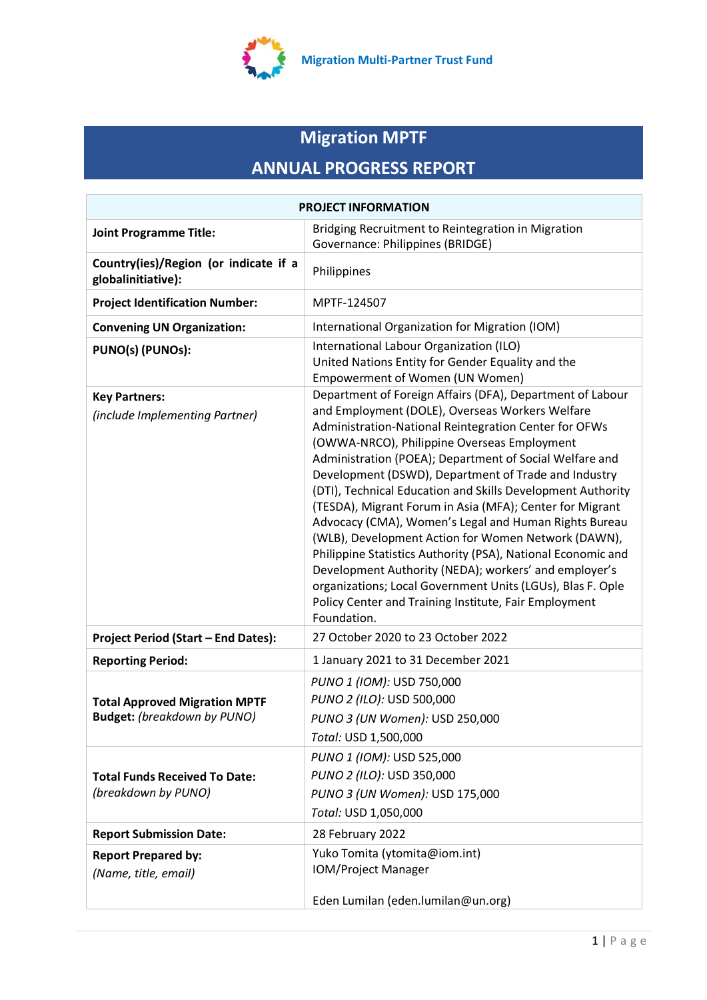

# **Migration MPTF ANNUAL PROGRESS REPORT**

| <b>PROJECT INFORMATION</b>                                          |                                                                                                                                                                                                                                                                                                                                                                                                                                                                                                                                                                                                                                                                                                                                                                                                                                                   |  |  |
|---------------------------------------------------------------------|---------------------------------------------------------------------------------------------------------------------------------------------------------------------------------------------------------------------------------------------------------------------------------------------------------------------------------------------------------------------------------------------------------------------------------------------------------------------------------------------------------------------------------------------------------------------------------------------------------------------------------------------------------------------------------------------------------------------------------------------------------------------------------------------------------------------------------------------------|--|--|
| <b>Joint Programme Title:</b>                                       | Bridging Recruitment to Reintegration in Migration<br>Governance: Philippines (BRIDGE)                                                                                                                                                                                                                                                                                                                                                                                                                                                                                                                                                                                                                                                                                                                                                            |  |  |
| Country(ies)/Region (or indicate if a<br>globalinitiative):         | Philippines                                                                                                                                                                                                                                                                                                                                                                                                                                                                                                                                                                                                                                                                                                                                                                                                                                       |  |  |
| <b>Project Identification Number:</b>                               | MPTF-124507                                                                                                                                                                                                                                                                                                                                                                                                                                                                                                                                                                                                                                                                                                                                                                                                                                       |  |  |
| <b>Convening UN Organization:</b>                                   | International Organization for Migration (IOM)                                                                                                                                                                                                                                                                                                                                                                                                                                                                                                                                                                                                                                                                                                                                                                                                    |  |  |
| PUNO(s) (PUNOs):                                                    | International Labour Organization (ILO)<br>United Nations Entity for Gender Equality and the<br>Empowerment of Women (UN Women)                                                                                                                                                                                                                                                                                                                                                                                                                                                                                                                                                                                                                                                                                                                   |  |  |
| <b>Key Partners:</b><br>(include Implementing Partner)              | Department of Foreign Affairs (DFA), Department of Labour<br>and Employment (DOLE), Overseas Workers Welfare<br>Administration-National Reintegration Center for OFWs<br>(OWWA-NRCO), Philippine Overseas Employment<br>Administration (POEA); Department of Social Welfare and<br>Development (DSWD), Department of Trade and Industry<br>(DTI), Technical Education and Skills Development Authority<br>(TESDA), Migrant Forum in Asia (MFA); Center for Migrant<br>Advocacy (CMA), Women's Legal and Human Rights Bureau<br>(WLB), Development Action for Women Network (DAWN),<br>Philippine Statistics Authority (PSA), National Economic and<br>Development Authority (NEDA); workers' and employer's<br>organizations; Local Government Units (LGUs), Blas F. Ople<br>Policy Center and Training Institute, Fair Employment<br>Foundation. |  |  |
| <b>Project Period (Start - End Dates):</b>                          | 27 October 2020 to 23 October 2022                                                                                                                                                                                                                                                                                                                                                                                                                                                                                                                                                                                                                                                                                                                                                                                                                |  |  |
| <b>Reporting Period:</b>                                            | 1 January 2021 to 31 December 2021                                                                                                                                                                                                                                                                                                                                                                                                                                                                                                                                                                                                                                                                                                                                                                                                                |  |  |
| <b>Total Approved Migration MPTF</b><br>Budget: (breakdown by PUNO) | PUNO 1 (IOM): USD 750,000<br>PUNO 2 (ILO): USD 500,000<br>PUNO 3 (UN Women): USD 250,000<br>Total: USD 1,500,000                                                                                                                                                                                                                                                                                                                                                                                                                                                                                                                                                                                                                                                                                                                                  |  |  |
| <b>Total Funds Received To Date:</b><br>(breakdown by PUNO)         | PUNO 1 (IOM): USD 525,000<br>PUNO 2 (ILO): USD 350,000<br>PUNO 3 (UN Women): USD 175,000<br>Total: USD 1,050,000                                                                                                                                                                                                                                                                                                                                                                                                                                                                                                                                                                                                                                                                                                                                  |  |  |
| <b>Report Submission Date:</b>                                      | 28 February 2022                                                                                                                                                                                                                                                                                                                                                                                                                                                                                                                                                                                                                                                                                                                                                                                                                                  |  |  |
| <b>Report Prepared by:</b><br>(Name, title, email)                  | Yuko Tomita (ytomita@iom.int)<br>IOM/Project Manager                                                                                                                                                                                                                                                                                                                                                                                                                                                                                                                                                                                                                                                                                                                                                                                              |  |  |
|                                                                     | Eden Lumilan (eden.lumilan@un.org)                                                                                                                                                                                                                                                                                                                                                                                                                                                                                                                                                                                                                                                                                                                                                                                                                |  |  |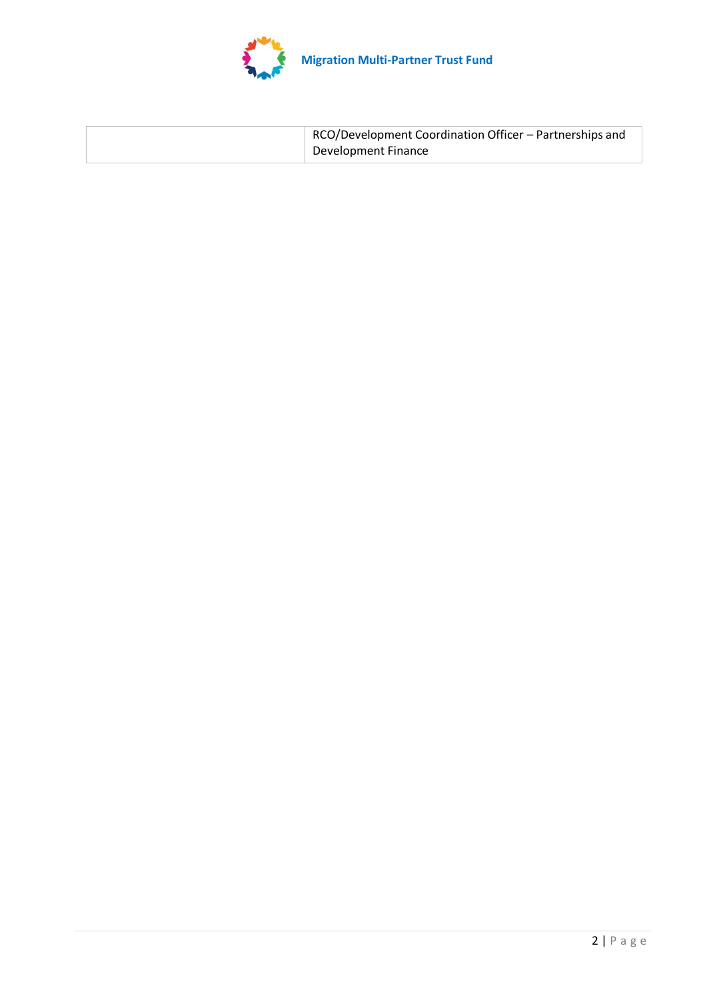

| RCO/Development Coordination Officer - Partnerships and |
|---------------------------------------------------------|
| Development Finance                                     |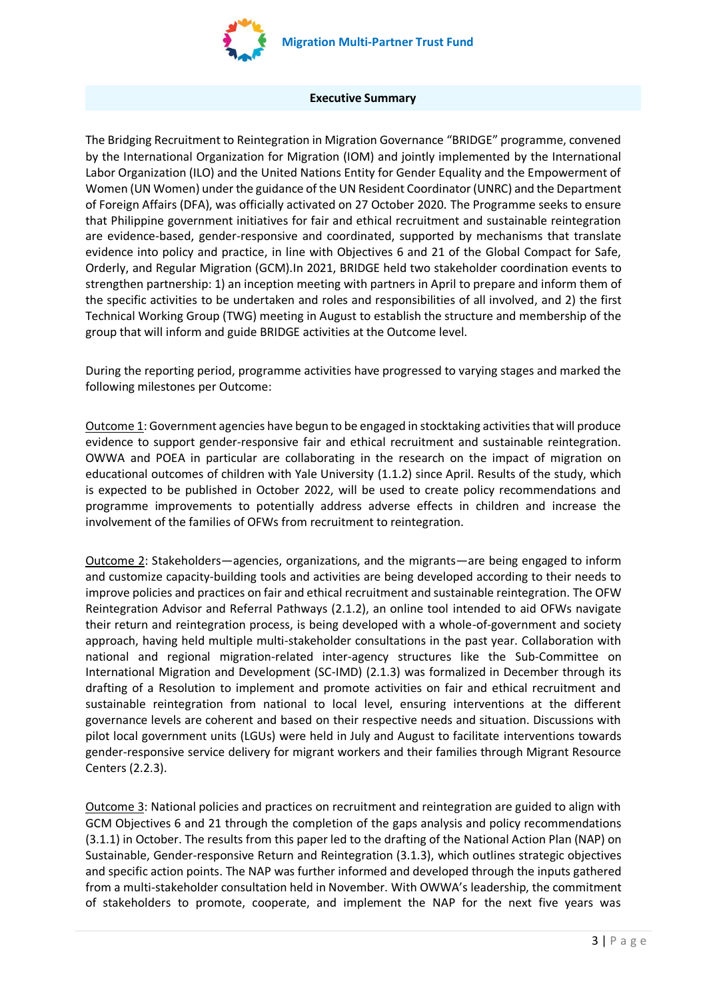

#### **Executive Summary**

The Bridging Recruitment to Reintegration in Migration Governance "BRIDGE" programme, convened by the International Organization for Migration (IOM) and jointly implemented by the International Labor Organization (ILO) and the United Nations Entity for Gender Equality and the Empowerment of Women (UN Women) under the guidance of the UN Resident Coordinator (UNRC) and the Department of Foreign Affairs (DFA), was officially activated on 27 October 2020. The Programme seeks to ensure that Philippine government initiatives for fair and ethical recruitment and sustainable reintegration are evidence-based, gender-responsive and coordinated, supported by mechanisms that translate evidence into policy and practice, in line with Objectives 6 and 21 of the Global Compact for Safe, Orderly, and Regular Migration (GCM).In 2021, BRIDGE held two stakeholder coordination events to strengthen partnership: 1) an inception meeting with partners in April to prepare and inform them of the specific activities to be undertaken and roles and responsibilities of all involved, and 2) the first Technical Working Group (TWG) meeting in August to establish the structure and membership of the group that will inform and guide BRIDGE activities at the Outcome level.

During the reporting period, programme activities have progressed to varying stages and marked the following milestones per Outcome:

Outcome 1: Government agencies have begun to be engaged in stocktaking activities that will produce evidence to support gender-responsive fair and ethical recruitment and sustainable reintegration. OWWA and POEA in particular are collaborating in the research on the impact of migration on educational outcomes of children with Yale University (1.1.2) since April. Results of the study, which is expected to be published in October 2022, will be used to create policy recommendations and programme improvements to potentially address adverse effects in children and increase the involvement of the families of OFWs from recruitment to reintegration.

Outcome 2: Stakeholders—agencies, organizations, and the migrants—are being engaged to inform and customize capacity-building tools and activities are being developed according to their needs to improve policies and practices on fair and ethical recruitment and sustainable reintegration. The OFW Reintegration Advisor and Referral Pathways (2.1.2), an online tool intended to aid OFWs navigate their return and reintegration process, is being developed with a whole-of-government and society approach, having held multiple multi-stakeholder consultations in the past year. Collaboration with national and regional migration-related inter-agency structures like the Sub-Committee on International Migration and Development (SC-IMD) (2.1.3) was formalized in December through its drafting of a Resolution to implement and promote activities on fair and ethical recruitment and sustainable reintegration from national to local level, ensuring interventions at the different governance levels are coherent and based on their respective needs and situation. Discussions with pilot local government units (LGUs) were held in July and August to facilitate interventions towards gender-responsive service delivery for migrant workers and their families through Migrant Resource Centers (2.2.3).

Outcome 3: National policies and practices on recruitment and reintegration are guided to align with GCM Objectives 6 and 21 through the completion of the gaps analysis and policy recommendations (3.1.1) in October. The results from this paper led to the drafting of the National Action Plan (NAP) on Sustainable, Gender-responsive Return and Reintegration (3.1.3), which outlines strategic objectives and specific action points. The NAP was further informed and developed through the inputs gathered from a multi-stakeholder consultation held in November. With OWWA's leadership, the commitment of stakeholders to promote, cooperate, and implement the NAP for the next five years was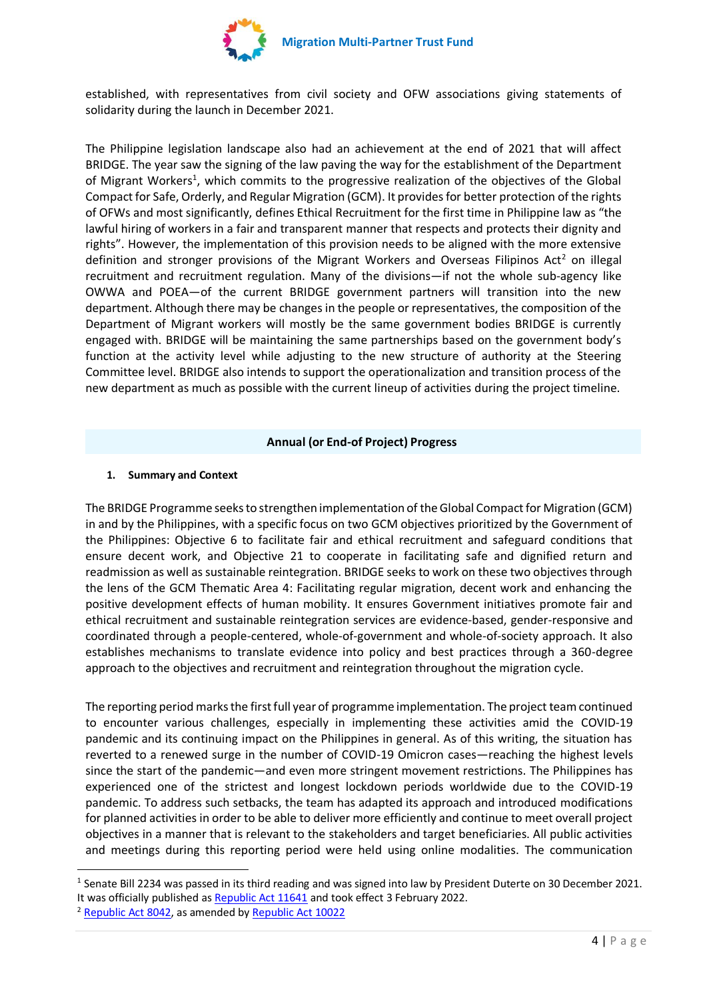

established, with representatives from civil society and OFW associations giving statements of solidarity during the launch in December 2021.

The Philippine legislation landscape also had an achievement at the end of 2021 that will affect BRIDGE. The year saw the signing of the law paving the way for the establishment of the Department of Migrant Workers<sup>1</sup>, which commits to the progressive realization of the objectives of the Global Compact for Safe, Orderly, and Regular Migration (GCM). It provides for better protection of the rights of OFWs and most significantly, defines Ethical Recruitment for the first time in Philippine law as "the lawful hiring of workers in a fair and transparent manner that respects and protects their dignity and rights". However, the implementation of this provision needs to be aligned with the more extensive definition and stronger provisions of the Migrant Workers and Overseas Filipinos Act<sup>2</sup> on illegal recruitment and recruitment regulation. Many of the divisions—if not the whole sub-agency like OWWA and POEA—of the current BRIDGE government partners will transition into the new department. Although there may be changes in the people or representatives, the composition of the Department of Migrant workers will mostly be the same government bodies BRIDGE is currently engaged with. BRIDGE will be maintaining the same partnerships based on the government body's function at the activity level while adjusting to the new structure of authority at the Steering Committee level. BRIDGE also intends to support the operationalization and transition process of the new department as much as possible with the current lineup of activities during the project timeline.

# **Annual (or End-of Project) Progress**

# **1. Summary and Context**

The BRIDGE Programme seeks to strengthen implementation of the Global Compact for Migration (GCM) in and by the Philippines, with a specific focus on two GCM objectives prioritized by the Government of the Philippines: Objective 6 to facilitate fair and ethical recruitment and safeguard conditions that ensure decent work, and Objective 21 to cooperate in facilitating safe and dignified return and readmission as well as sustainable reintegration. BRIDGE seeks to work on these two objectives through the lens of the GCM Thematic Area 4: Facilitating regular migration, decent work and enhancing the positive development effects of human mobility. It ensures Government initiatives promote fair and ethical recruitment and sustainable reintegration services are evidence-based, gender-responsive and coordinated through a people-centered, whole-of-government and whole-of-society approach. It also establishes mechanisms to translate evidence into policy and best practices through a 360-degree approach to the objectives and recruitment and reintegration throughout the migration cycle.

The reporting period marks the first full year of programme implementation. The project team continued to encounter various challenges, especially in implementing these activities amid the COVID-19 pandemic and its continuing impact on the Philippines in general. As of this writing, the situation has reverted to a renewed surge in the number of COVID-19 Omicron cases—reaching the highest levels since the start of the pandemic—and even more stringent movement restrictions. The Philippines has experienced one of the strictest and longest lockdown periods worldwide due to the COVID-19 pandemic. To address such setbacks, the team has adapted its approach and introduced modifications for planned activities in order to be able to deliver more efficiently and continue to meet overall project objectives in a manner that is relevant to the stakeholders and target beneficiaries. All public activities and meetings during this reporting period were held using online modalities. The communication

<sup>&</sup>lt;sup>1</sup> Senate Bill 2234 was passed in its third reading and was signed into law by President Duterte on 30 December 2021. It was officially published a[s Republic Act 11641](https://www.officialgazette.gov.ph/downloads/2021/12dec/20211230-RA-11641-RRD.pdf) and took effect 3 February 2022.

<sup>&</sup>lt;sup>2</sup> [Republic Act 8042,](https://www.poea.gov.ph/laws&rules/files/Migrant%20Workers%20Act%20of%201995%20(RA%208042).html) as amended b[y Republic Act 10022](https://mirror.officialgazette.gov.ph/2010/03/10/republic-act-no-10022-s-2010/)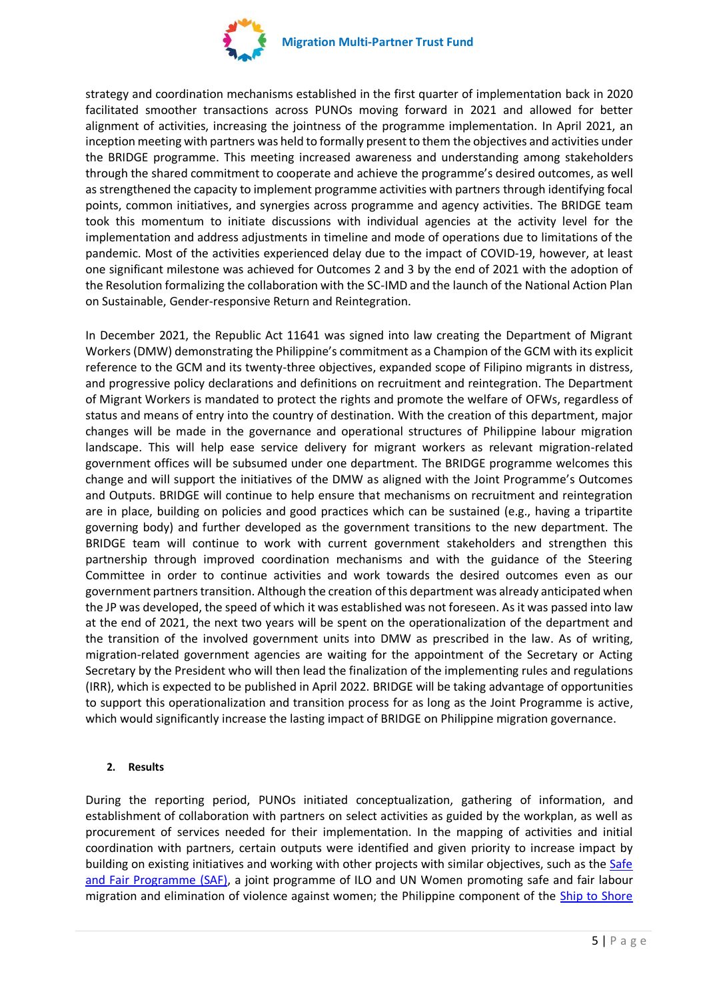

strategy and coordination mechanisms established in the first quarter of implementation back in 2020 facilitated smoother transactions across PUNOs moving forward in 2021 and allowed for better alignment of activities, increasing the jointness of the programme implementation. In April 2021, an inception meeting with partners was held to formally present to them the objectives and activities under the BRIDGE programme. This meeting increased awareness and understanding among stakeholders through the shared commitment to cooperate and achieve the programme's desired outcomes, as well as strengthened the capacity to implement programme activities with partners through identifying focal points, common initiatives, and synergies across programme and agency activities. The BRIDGE team took this momentum to initiate discussions with individual agencies at the activity level for the implementation and address adjustments in timeline and mode of operations due to limitations of the pandemic. Most of the activities experienced delay due to the impact of COVID-19, however, at least one significant milestone was achieved for Outcomes 2 and 3 by the end of 2021 with the adoption of the Resolution formalizing the collaboration with the SC-IMD and the launch of the National Action Plan on Sustainable, Gender-responsive Return and Reintegration.

In December 2021, the [Republic Act 11641](https://www.officialgazette.gov.ph/downloads/2021/12dec/20211230-RA-11641-RRD.pdf) was signed into law creating the Department of Migrant Workers (DMW) demonstrating the Philippine's commitment as a Champion of the GCM with its explicit reference to the GCM and its twenty-three objectives, expanded scope of Filipino migrants in distress, and progressive policy declarations and definitions on recruitment and reintegration. The Department of Migrant Workers is mandated to protect the rights and promote the welfare of OFWs, regardless of status and means of entry into the country of destination. With the creation of this department, major changes will be made in the governance and operational structures of Philippine labour migration landscape. This will help ease service delivery for migrant workers as relevant migration-related government offices will be subsumed under one department. The BRIDGE programme welcomes this change and will support the initiatives of the DMW as aligned with the Joint Programme's Outcomes and Outputs. BRIDGE will continue to help ensure that mechanisms on recruitment and reintegration are in place, building on policies and good practices which can be sustained (e.g., having a tripartite governing body) and further developed as the government transitions to the new department. The BRIDGE team will continue to work with current government stakeholders and strengthen this partnership through improved coordination mechanisms and with the guidance of the Steering Committee in order to continue activities and work towards the desired outcomes even as our government partners transition. Although the creation of this department was already anticipated when the JP was developed, the speed of which it was established was not foreseen. As it was passed into law at the end of 2021, the next two years will be spent on the operationalization of the department and the transition of the involved government units into DMW as prescribed in the law. As of writing, migration-related government agencies are waiting for the appointment of the Secretary or Acting Secretary by the President who will then lead the finalization of the implementing rules and regulations (IRR), which is expected to be published in April 2022. BRIDGE will be taking advantage of opportunities to support this operationalization and transition process for as long as the Joint Programme is active, which would significantly increase the lasting impact of BRIDGE on Philippine migration governance.

# **2. Results**

During the reporting period, PUNOs initiated conceptualization, gathering of information, and establishment of collaboration with partners on select activities as guided by the workplan, as well as procurement of services needed for their implementation. In the mapping of activities and initial coordination with partners, certain outputs were identified and given priority to increase impact by building on existing initiatives and working with other projects with similar objectives, such as the Safe [and Fair Programme](https://www.ilo.org/asia/projects/WCMS_632458/lang--en/index.htm) (SAF), a joint programme of ILO and UN Women promoting safe and fair labour migration and elimination of violence against women; the Philippine component of the Ship to Shore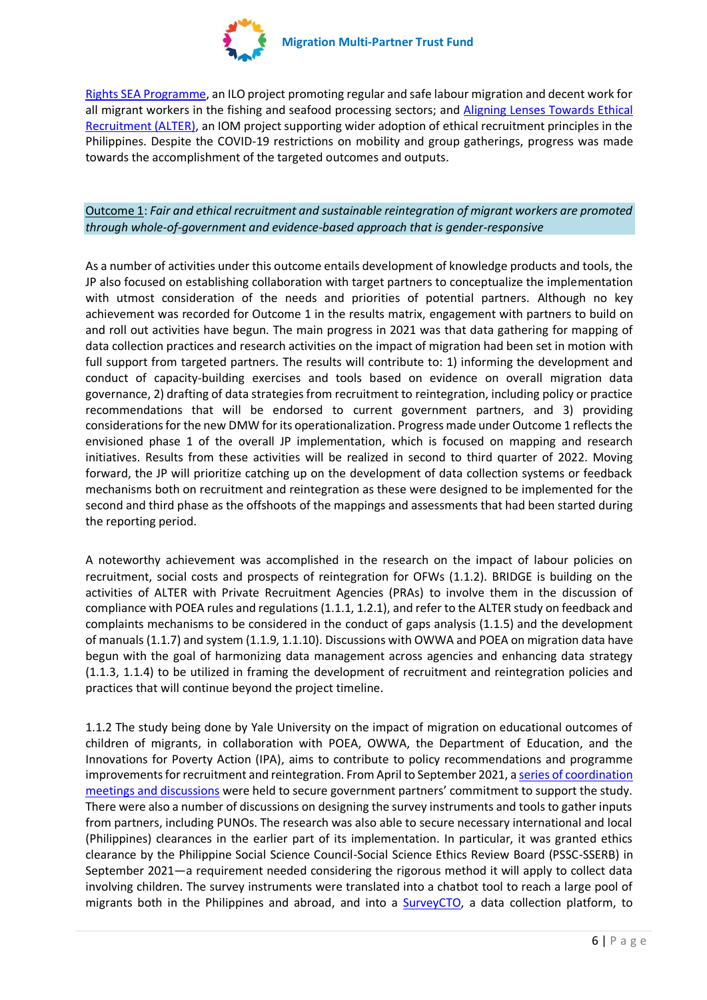

[Rights SEA Programme,](https://shiptoshorerights.org/) an ILO project promoting regular and safe labour migration and decent work for all migrant workers in the fishing and seafood processing sectors; and Aligning Lenses Towards Ethical [Recruitment \(ALTER\),](https://www.facebook.com/watch/?v=423589665422051) an IOM project supporting wider adoption of ethical recruitment principles in the Philippines. Despite the COVID-19 restrictions on mobility and group gatherings, progress was made towards the accomplishment of the targeted outcomes and outputs.

Outcome 1: *Fair and ethical recruitment and sustainable reintegration of migrant workers are promoted through whole-of-government and evidence-based approach that is gender-responsive*

As a number of activities under this outcome entails development of knowledge products and tools, the JP also focused on establishing collaboration with target partners to conceptualize the implementation with utmost consideration of the needs and priorities of potential partners. Although no key achievement was recorded for Outcome 1 in the results matrix, engagement with partners to build on and roll out activities have begun. The main progress in 2021 was that data gathering for mapping of data collection practices and research activities on the impact of migration had been set in motion with full support from targeted partners. The results will contribute to: 1) informing the development and conduct of capacity-building exercises and tools based on evidence on overall migration data governance, 2) drafting of data strategies from recruitment to reintegration, including policy or practice recommendations that will be endorsed to current government partners, and 3) providing considerations for the new DMW for its operationalization. Progress made under Outcome 1 reflects the envisioned phase 1 of the overall JP implementation, which is focused on mapping and research initiatives. Results from these activities will be realized in second to third quarter of 2022. Moving forward, the JP will prioritize catching up on the development of data collection systems or feedback mechanisms both on recruitment and reintegration as these were designed to be implemented for the second and third phase as the offshoots of the mappings and assessments that had been started during the reporting period.

A noteworthy achievement was accomplished in the research on the impact of labour policies on recruitment, social costs and prospects of reintegration for OFWs (1.1.2). BRIDGE is building on the activities of ALTER with Private Recruitment Agencies (PRAs) to involve them in the discussion of compliance with POEA rules and regulations (1.1.1, 1.2.1), and refer to the ALTER study on feedback and complaints mechanisms to be considered in the conduct of gaps analysis (1.1.5) and the development of manuals (1.1.7) and system (1.1.9, 1.1.10). Discussions with OWWA and POEA on migration data have begun with the goal of harmonizing data management across agencies and enhancing data strategy (1.1.3, 1.1.4) to be utilized in framing the development of recruitment and reintegration policies and practices that will continue beyond the project timeline.

1.1.2 The study being done by Yale University on the impact of migration on educational outcomes of children of migrants, in collaboration with POEA, OWWA, the Department of Education, and the Innovations for Poverty Action (IPA), aims to contribute to policy recommendations and programme improvements for recruitment and reintegration. From April to September 2021, a [series of coordination](https://iomint.sharepoint.com/:f:/s/MPTF-BRIDGE/EmBZHncxo4lDoA-aTm1jwywBmwqKK4O_aL1lGGejBHn7pw?e=C9irCJ)  [meetings and discussions](https://iomint.sharepoint.com/:f:/s/MPTF-BRIDGE/EmBZHncxo4lDoA-aTm1jwywBmwqKK4O_aL1lGGejBHn7pw?e=C9irCJ) were held to secure government partners' commitment to support the study. There were also a number of discussions on designing the survey instruments and tools to gather inputs from partners, including PUNOs. The research was also able to secure necessary international and local (Philippines) clearances in the earlier part of its implementation. In particular, it was granted ethics clearance by the Philippine Social Science Council-Social Science Ethics Review Board (PSSC-SSERB) in September 2021—a requirement needed considering the rigorous method it will apply to collect data involving children. The survey instruments were translated into a chatbot tool to reach a large pool of migrants both in the Philippines and abroad, and into a **SurveyCTO**, a data collection platform, to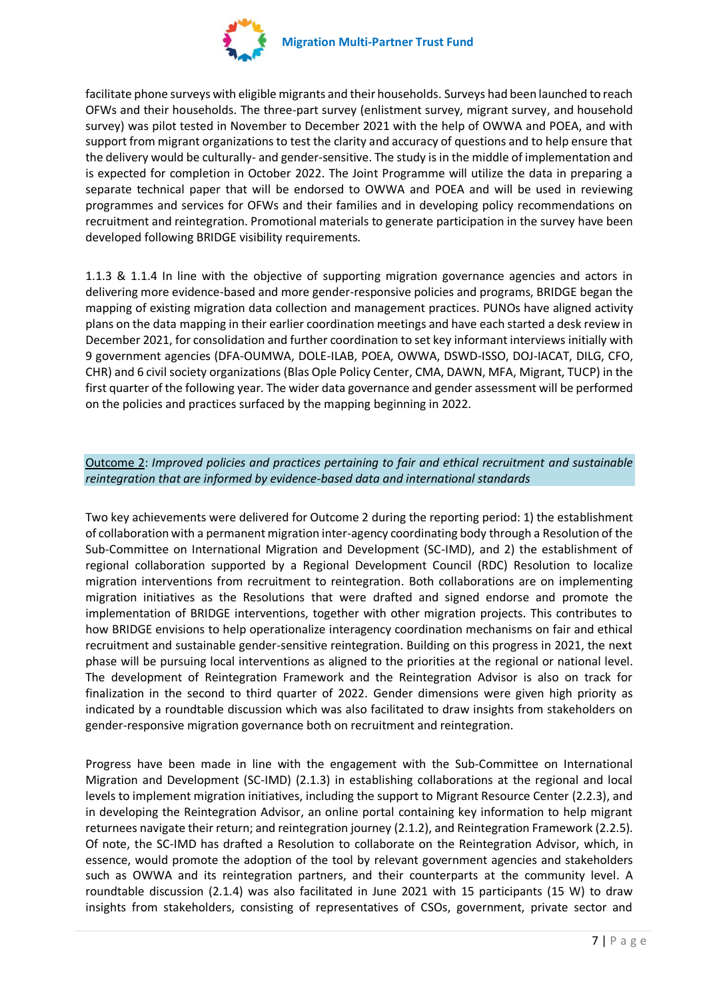

facilitate phone surveys with eligible migrants and their households. Surveys had been launched to reach OFWs and their households. The three-part survey (enlistment survey, migrant survey, and household survey) was pilot tested in November to December 2021 with the help of OWWA and POEA, and with support from migrant organizations to test the clarity and accuracy of questions and to help ensure that the delivery would be culturally- and gender-sensitive. The study is in the middle of implementation and is expected for completion in October 2022. The Joint Programme will utilize the data in preparing a separate technical paper that will be endorsed to OWWA and POEA and will be used in reviewing programmes and services for OFWs and their families and in developing policy recommendations on recruitment and reintegration. Promotional materials to generate participation in the survey have been developed following BRIDGE visibility requirements.

1.1.3 & 1.1.4 In line with the objective of supporting migration governance agencies and actors in delivering more evidence-based and more gender-responsive policies and programs, BRIDGE began the mapping of existing migration data collection and management practices. PUNOs have aligned activity plans on the data mapping in their earlier coordination meetings and have each started a desk review in December 2021, for consolidation and further coordination to set key informant interviews initially with 9 government agencies (DFA-OUMWA, DOLE-ILAB, POEA, OWWA, DSWD-ISSO, DOJ-IACAT, DILG, CFO, CHR) and 6 civil society organizations (Blas Ople Policy Center, CMA, DAWN, MFA, Migrant, TUCP) in the first quarter of the following year. The wider data governance and gender assessment will be performed on the policies and practices surfaced by the mapping beginning in 2022.

# Outcome 2: *Improved policies and practices pertaining to fair and ethical recruitment and sustainable reintegration that are informed by evidence-based data and international standards*

Two key achievements were delivered for Outcome 2 during the reporting period: 1) the establishment of collaboration with a permanent migration inter-agency coordinating body through a Resolution of the Sub-Committee on International Migration and Development (SC-IMD), and 2) the establishment of regional collaboration supported by a Regional Development Council (RDC) Resolution to localize migration interventions from recruitment to reintegration. Both collaborations are on implementing migration initiatives as the Resolutions that were drafted and signed endorse and promote the implementation of BRIDGE interventions, together with other migration projects. This contributes to how BRIDGE envisions to help operationalize interagency coordination mechanisms on fair and ethical recruitment and sustainable gender-sensitive reintegration. Building on this progress in 2021, the next phase will be pursuing local interventions as aligned to the priorities at the regional or national level. The development of Reintegration Framework and the Reintegration Advisor is also on track for finalization in the second to third quarter of 2022. Gender dimensions were given high priority as indicated by a roundtable discussion which was also facilitated to draw insights from stakeholders on gender-responsive migration governance both on recruitment and reintegration.

Progress have been made in line with the engagement with the Sub-Committee on International Migration and Development (SC-IMD) (2.1.3) in establishing collaborations at the regional and local levels to implement migration initiatives, including the support to Migrant Resource Center (2.2.3), and in developing the Reintegration Advisor, an online portal containing key information to help migrant returnees navigate their return; and reintegration journey (2.1.2), and Reintegration Framework (2.2.5). Of note, the SC-IMD has drafted a Resolution to collaborate on the Reintegration Advisor, which, in essence, would promote the adoption of the tool by relevant government agencies and stakeholders such as OWWA and its reintegration partners, and their counterparts at the community level. A roundtable discussion (2.1.4) was also facilitated in June 2021 with 15 participants (15 W) to draw insights from stakeholders, consisting of representatives of CSOs, government, private sector and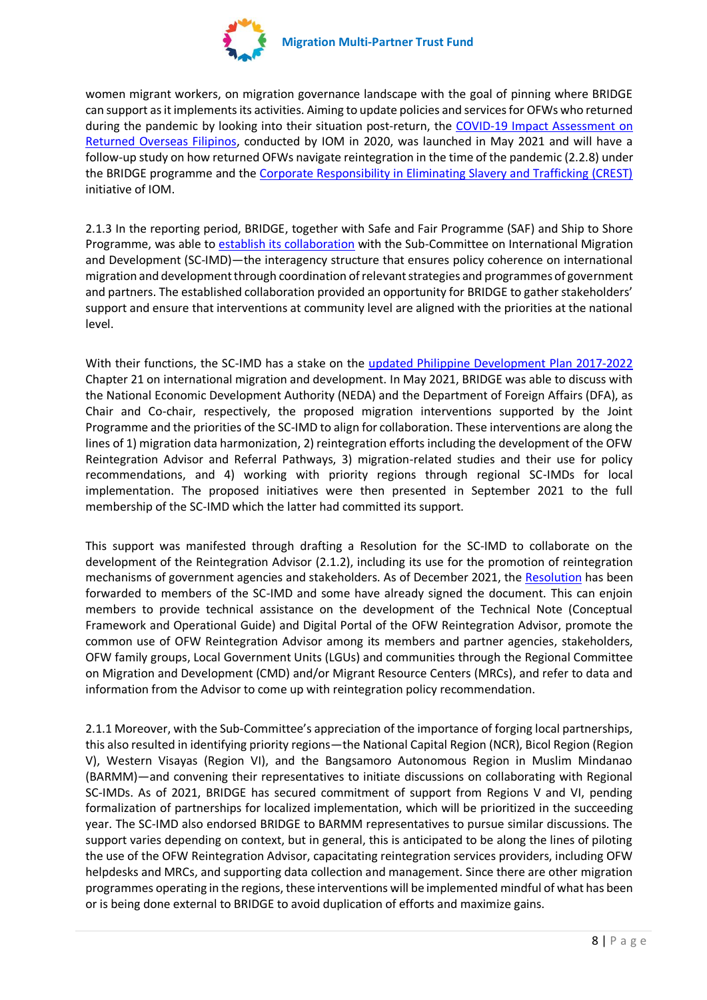

women migrant workers, on migration governance landscape with the goal of pinning where BRIDGE can support as it implements its activities. Aiming to update policies and services for OFWs who returned during the pandemic by looking into their situation post-return, the [COVID-19 Impact Assessment on](https://philippines.iom.int/sites/g/files/tmzbdl326/files/documents/COVID-19%20Impact%20Assessment%20on%20Returned%20Overseas%20Filipino%20Workers_1.pdf)  [Returned Overseas Filipinos,](https://philippines.iom.int/sites/g/files/tmzbdl326/files/documents/COVID-19%20Impact%20Assessment%20on%20Returned%20Overseas%20Filipino%20Workers_1.pdf) conducted by IOM in 2020, was launched in May 2021 and will have a follow-up study on how returned OFWs navigate reintegration in the time of the pandemic (2.2.8) under the BRIDGE programme and th[e Corporate Responsibility in Eliminating Slavery and Trafficking \(CREST\)](https://crest.iom.int/) initiative of IOM.

2.1.3 In the reporting period, BRIDGE, together with Safe and Fair Programme (SAF) and Ship to Shore Programme, was able to [establish its collaboration](https://iomint.sharepoint.com/:f:/s/MPTF-BRIDGE/ElBM0_etqx1CozjtZnLIP2cBshCArAxpSsg7GaQQiHW5Dg?e=M6vjiN) with the Sub-Committee on International Migration and Development (SC-IMD)—the interagency structure that ensures policy coherence on international migration and development through coordination of relevant strategies and programmes of government and partners. The established collaboration provided an opportunity for BRIDGE to gather stakeholders' support and ensure that interventions at community level are aligned with the priorities at the national level.

With their functions, the SC-IMD has a stake on the [updated Philippine Development Plan](https://pdp.neda.gov.ph/updated-pdp-2017-2022/) 2017-2022 Chapter 21 on international migration and development. In May 2021, BRIDGE was able to discuss with the National Economic Development Authority (NEDA) and the Department of Foreign Affairs (DFA), as Chair and Co-chair, respectively, the proposed migration interventions supported by the Joint Programme and the priorities of the SC-IMD to align for collaboration. These interventions are along the lines of 1) migration data harmonization, 2) reintegration efforts including the development of the OFW Reintegration Advisor and Referral Pathways, 3) migration-related studies and their use for policy recommendations, and 4) working with priority regions through regional SC-IMDs for local implementation. The proposed initiatives were then presented in September 2021 to the full membership of the SC-IMD which the latter had committed its support.

This support was manifested through drafting a Resolution for the SC-IMD to collaborate on the development of the Reintegration Advisor (2.1.2), including its use for the promotion of reintegration mechanisms of government agencies and stakeholders. As of December 2021, the [Resolution](https://iomint.sharepoint.com/:b:/s/MPTF-BRIDGE/EQcUXwkaAr9NhUapBMm6XpMBUC6f20o1BNEDUroI5xmBNg?e=J6eNEL) has been forwarded to members of the SC-IMD and some have already signed the document. This can enjoin members to provide technical assistance on the development of the Technical Note (Conceptual Framework and Operational Guide) and Digital Portal of the OFW Reintegration Advisor, promote the common use of OFW Reintegration Advisor among its members and partner agencies, stakeholders, OFW family groups, Local Government Units (LGUs) and communities through the Regional Committee on Migration and Development (CMD) and/or Migrant Resource Centers (MRCs), and refer to data and information from the Advisor to come up with reintegration policy recommendation.

2.1.1 Moreover, with the Sub-Committee's appreciation of the importance of forging local partnerships, this also resulted in identifying priority regions—the National Capital Region (NCR), Bicol Region (Region V), Western Visayas (Region VI), and the Bangsamoro Autonomous Region in Muslim Mindanao (BARMM)—and convening their representatives to initiate discussions on collaborating with Regional SC-IMDs. As of 2021, BRIDGE has secured commitment of support from Regions V and VI, pending formalization of partnerships for localized implementation, which will be prioritized in the succeeding year. The SC-IMD also endorsed BRIDGE to BARMM representatives to pursue similar discussions. The support varies depending on context, but in general, this is anticipated to be along the lines of piloting the use of the OFW Reintegration Advisor, capacitating reintegration services providers, including OFW helpdesks and MRCs, and supporting data collection and management. Since there are other migration programmes operating in the regions, these interventions will be implemented mindful of what has been or is being done external to BRIDGE to avoid duplication of efforts and maximize gains.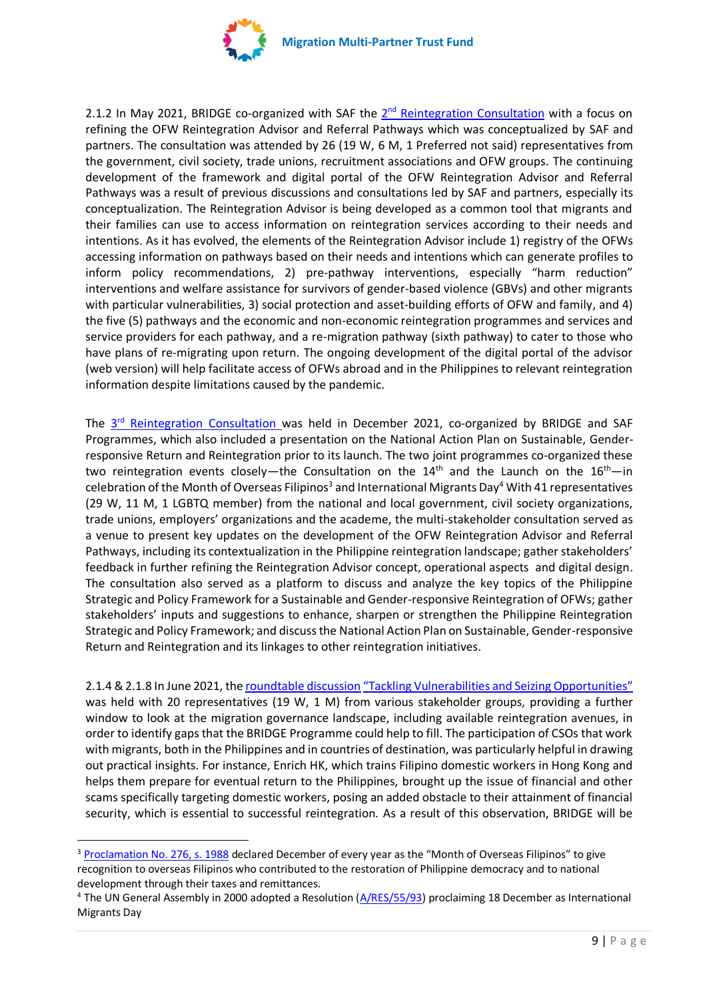

2.1.2 In May 2021, BRIDGE co-organized with SAF the 2<sup>nd</sup> [Reintegration C](https://iomint.sharepoint.com/:f:/s/MPTF-BRIDGE/ElRi9lOTARNBt-8f27Tg-CgBkbqO2P5cr7G0LDbUiOZdug?e=eVeRj4)onsultation with a focus on refining the OFW Reintegration Advisor and Referral Pathways which was conceptualized by SAF and partners. The consultation was attended by 26 (19 W, 6 M, 1 Preferred not said) representatives from the government, civil society, trade unions, recruitment associations and OFW groups. The continuing development of the framework and digital portal of the OFW Reintegration Advisor and Referral Pathways was a result of previous discussions and consultations led by SAF and partners, especially its conceptualization. The Reintegration Advisor is being developed as a common tool that migrants and their families can use to access information on reintegration services according to their needs and intentions. As it has evolved, the elements of the Reintegration Advisor include 1) registry of the OFWs accessing information on pathways based on their needs and intentions which can generate profiles to inform policy recommendations, 2) pre-pathway interventions, especially "harm reduction" interventions and welfare assistance for survivors of gender-based violence (GBVs) and other migrants with particular vulnerabilities, 3) social protection and asset-building efforts of OFW and family, and 4) the five (5) pathways and the economic and non-economic reintegration programmes and services and service providers for each pathway, and a re-migration pathway (sixth pathway) to cater to those who have plans of re-migrating upon return. The ongoing development of the digital portal of the advisor (web version) will help facilitate access of OFWs abroad and in the Philippines to relevant reintegration information despite limitations caused by the pandemic.

The 3<sup>rd</sup> [Reintegration](https://iomint.sharepoint.com/:f:/s/MPTF-BRIDGE/El2H2FzWfHhFuwP3IXWk6FsBBpg4Pq6_lHFNMvyttGbASw?e=bw0mqx) Consultation was held in December 2021, co-organized by BRIDGE and SAF Programmes, which also included a presentation on the National Action Plan on Sustainable, Genderresponsive Return and Reintegration prior to its launch. The two joint programmes co-organized these two reintegration events closely—the Consultation on the  $14<sup>th</sup>$  and the Launch on the  $16<sup>th</sup>$ —in celebration of the Month of Overseas Filipinos<sup>3</sup> and International Migrants Day<sup>4</sup> With 41 representatives (29 W, 11 M, 1 LGBTQ member) from the national and local government, civil society organizations, trade unions, employers' organizations and the academe, the multi-stakeholder consultation served as a venue to present key updates on the development of the OFW Reintegration Advisor and Referral Pathways, including its contextualization in the Philippine reintegration landscape; gather stakeholders' feedback in further refining the Reintegration Advisor concept, operational aspects and digital design. The consultation also served as a platform to discuss and analyze the key topics of the Philippine Strategic and Policy Framework for a Sustainable and Gender-responsive Reintegration of OFWs; gather stakeholders' inputs and suggestions to enhance, sharpen or strengthen the Philippine Reintegration Strategic and Policy Framework; and discuss the National Action Plan on Sustainable, Gender-responsive Return and Reintegration and its linkages to other reintegration initiatives.

2.1.4 & 2.1.8 In June 2021, th[e roundtable discussion](https://iomint.sharepoint.com/:b:/s/MPTF-BRIDGE/EbFuBy8XFElLpRltYc6JEwsBZkTUU5qBBtj_9DAzS7KReg?e=SAa3la) ["Tackling Vulnerabilities and Seizing Opportunities"](https://iomint.sharepoint.com/:f:/s/MPTF-BRIDGE/EruIDjdczPpNreCwxmawhyoBCXLeMgW1JusEEQRa53UKxg?e=TQElEA) was held with 20 representatives (19 W, 1 M) from various stakeholder groups, providing a further window to look at the migration governance landscape, including available reintegration avenues, in order to identify gaps that the BRIDGE Programme could help to fill. The participation of CSOs that work with migrants, both in the Philippines and in countries of destination, was particularly helpful in drawing out practical insights. For instance, Enrich HK, which trains Filipino domestic workers in Hong Kong and helps them prepare for eventual return to the Philippines, brought up the issue of financial and other scams specifically targeting domestic workers, posing an added obstacle to their attainment of financial security, which is essential to successful reintegration. As a result of this observation, BRIDGE will be

<sup>3</sup> [Proclamation No. 276, s. 1988](https://www.officialgazette.gov.ph/1988/06/21/proclamation-no-276-s-1988/) declared December of every year as the "Month of Overseas Filipinos" to give recognition to overseas Filipinos who contributed to the restoration of Philippine democracy and to national development through their taxes and remittances.

<sup>&</sup>lt;sup>4</sup> The UN General Assembly in 2000 adopted a Resolution [\(A/RES/55/93\)](https://undocs.org/en/A/RES/55/93) proclaiming 18 December as International Migrants Day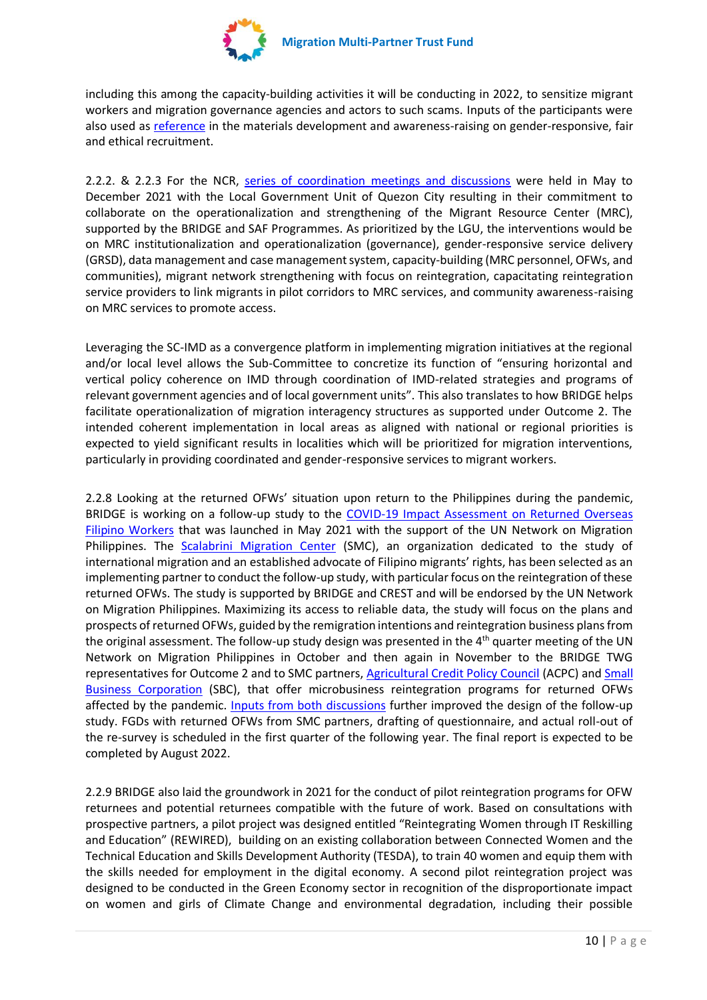

including this among the capacity-building activities it will be conducting in 2022, to sensitize migrant workers and migration governance agencies and actors to such scams. Inputs of the participants were also used as [reference](https://iomint.sharepoint.com/:f:/s/MPTF-BRIDGE/EufwiQKA5dNIqm-r7_bTZUsBaVVs80NN9oOBjSvFR6IB2Q?e=nByQS0) in the materials development and awareness-raising on gender-responsive, fair and ethical recruitment.

2.2.2. & 2.2.3 For the NCR, [series of coordination meetings and discussions](https://iomint.sharepoint.com/:f:/s/MPTF-BRIDGE/ElBM0_etqx1CozjtZnLIP2cBshCArAxpSsg7GaQQiHW5Dg?e=zRfArd) were held in May to December 2021 with the Local Government Unit of Quezon City resulting in their commitment to collaborate on the operationalization and strengthening of the Migrant Resource Center (MRC), supported by the BRIDGE and SAF Programmes. As prioritized by the LGU, the interventions would be on MRC institutionalization and operationalization (governance), gender-responsive service delivery (GRSD), data management and case management system, capacity-building (MRC personnel, OFWs, and communities), migrant network strengthening with focus on reintegration, capacitating reintegration service providers to link migrants in pilot corridors to MRC services, and community awareness-raising on MRC services to promote access.

Leveraging the SC-IMD as a convergence platform in implementing migration initiatives at the regional and/or local level allows the Sub-Committee to concretize its function of "ensuring horizontal and vertical policy coherence on IMD through coordination of IMD-related strategies and programs of relevant government agencies and of local government units". This also translates to how BRIDGE helps facilitate operationalization of migration interagency structures as supported under Outcome 2. The intended coherent implementation in local areas as aligned with national or regional priorities is expected to yield significant results in localities which will be prioritized for migration interventions, particularly in providing coordinated and gender-responsive services to migrant workers.

2.2.8 Looking at the returned OFWs' situation upon return to the Philippines during the pandemic, BRIDGE is working on a follow-up study to the [COVID-19 Impact Assessment on Returned Overseas](https://philippines.iom.int/sites/g/files/tmzbdl326/files/documents/COVID-19%20Impact%20Assessment%20on%20Returned%20Overseas%20Filipino%20Workers_1.pdf)  [Filipino Workers](https://philippines.iom.int/sites/g/files/tmzbdl326/files/documents/COVID-19%20Impact%20Assessment%20on%20Returned%20Overseas%20Filipino%20Workers_1.pdf) that was launched in May 2021 with the support of the UN Network on Migration Philippines. The [Scalabrini Migration Center](http://smc.org.ph/) (SMC), an organization dedicated to the study of international migration and an established advocate of Filipino migrants' rights, has been selected as an implementing partner to conduct the follow-up study, with particular focus on the reintegration of these returned OFWs. The study is supported by BRIDGE and CREST and will be endorsed by the UN Network on Migration Philippines. Maximizing its access to reliable data, the study will focus on the plans and prospects of returned OFWs, guided by the remigration intentions and reintegration business plans from the original assessment. The follow-up study design was presented in the 4<sup>th</sup> quarter meeting of the UN Network on Migration Philippines in October and then again in November to the BRIDGE TWG representatives for Outcome 2 and to SMC partners, [Agricultural Credit Policy Council](https://acpc.gov.ph/) (ACPC) and Small [Business Corporation](https://brs.sbcorp.ph/) (SBC), that offer microbusiness reintegration programs for returned OFWs affected by the pandemic. [Inputs from both discussions](https://iomint.sharepoint.com/:b:/s/MPTF-BRIDGE/EVpuR9SBWkxBuPuSq-akJ9EB7TuUhiYPWVKJhofqaZEZNA?e=yJXGEK) further improved the design of the follow-up study. FGDs with returned OFWs from SMC partners, drafting of questionnaire, and actual roll-out of the re-survey is scheduled in the first quarter of the following year. The final report is expected to be completed by August 2022.

2.2.9 BRIDGE also laid the groundwork in 2021 for the conduct of pilot reintegration programs for OFW returnees and potential returnees compatible with the future of work. Based on consultations with prospective partners, a pilot project was designed entitled "Reintegrating Women through IT Reskilling and Education" (REWIRED), building on an existing collaboration between Connected Women and the Technical Education and Skills Development Authority (TESDA), to train 40 women and equip them with the skills needed for employment in the digital economy. A second pilot reintegration project was designed to be conducted in the Green Economy sector in recognition of the disproportionate impact on women and girls of Climate Change and environmental degradation, including their possible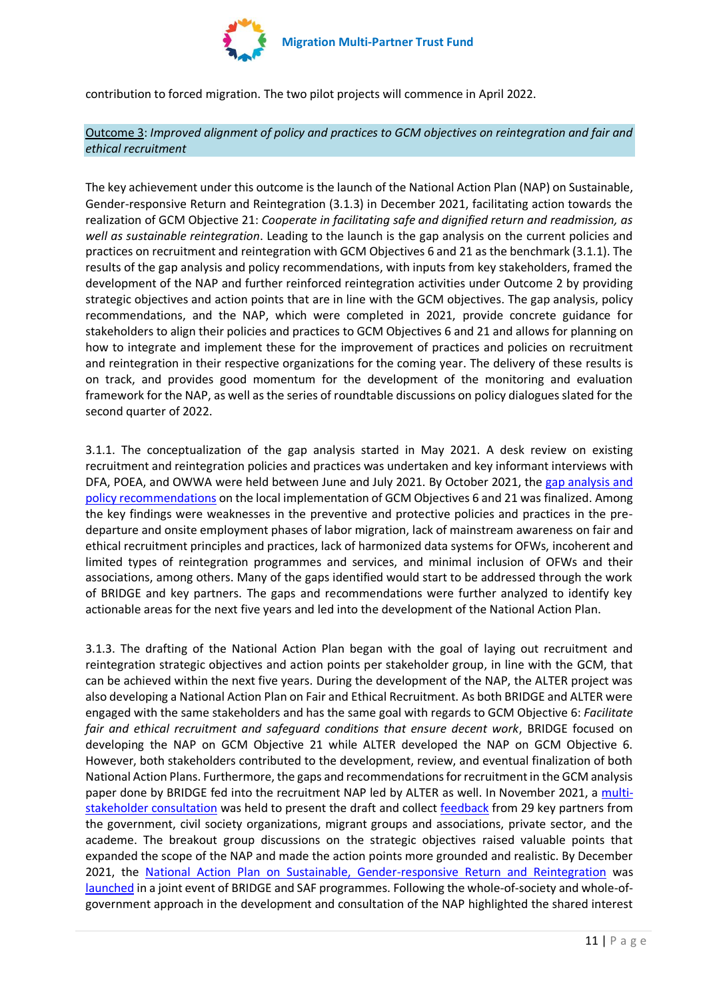

contribution to forced migration. The two pilot projects will commence in April 2022.

Outcome 3: *Improved alignment of policy and practices to GCM objectives on reintegration and fair and ethical recruitment*

The key achievement under this outcome is the launch of the National Action Plan (NAP) on Sustainable, Gender-responsive Return and Reintegration (3.1.3) in December 2021, facilitating action towards the realization of GCM Objective 21: *Cooperate in facilitating safe and dignified return and readmission, as well as sustainable reintegration*. Leading to the launch is the gap analysis on the current policies and practices on recruitment and reintegration with GCM Objectives 6 and 21 as the benchmark (3.1.1). The results of the gap analysis and policy recommendations, with inputs from key stakeholders, framed the development of the NAP and further reinforced reintegration activities under Outcome 2 by providing strategic objectives and action points that are in line with the GCM objectives. The gap analysis, policy recommendations, and the NAP, which were completed in 2021, provide concrete guidance for stakeholders to align their policies and practices to GCM Objectives 6 and 21 and allows for planning on how to integrate and implement these for the improvement of practices and policies on recruitment and reintegration in their respective organizations for the coming year. The delivery of these results is on track, and provides good momentum for the development of the monitoring and evaluation framework for the NAP, as well as the series of roundtable discussions on policy dialogues slated for the second quarter of 2022.

3.1.1. The conceptualization of the gap analysis started in May 2021. A desk review on existing recruitment and reintegration policies and practices was undertaken and key informant interviews with DFA, POEA, and OWWA were held between June and July 2021. By October 2021, the [gap analysis and](https://iomint.sharepoint.com/:b:/s/MPTF-BRIDGE/EY51c4EeUa5JtYs0uV6CAqgBd34gOHgbeWY_u-deOGdvLw?e=PqtgdN)  [policy recommendations](https://iomint.sharepoint.com/:b:/s/MPTF-BRIDGE/EY51c4EeUa5JtYs0uV6CAqgBd34gOHgbeWY_u-deOGdvLw?e=PqtgdN) on the local implementation of GCM Objectives 6 and 21 was finalized. Among the key findings were weaknesses in the preventive and protective policies and practices in the predeparture and onsite employment phases of labor migration, lack of mainstream awareness on fair and ethical recruitment principles and practices, lack of harmonized data systems for OFWs, incoherent and limited types of reintegration programmes and services, and minimal inclusion of OFWs and their associations, among others. Many of the gaps identified would start to be addressed through the work of BRIDGE and key partners. The gaps and recommendations were further analyzed to identify key actionable areas for the next five years and led into the development of the National Action Plan.

3.1.3. The drafting of the National Action Plan began with the goal of laying out recruitment and reintegration strategic objectives and action points per stakeholder group, in line with the GCM, that can be achieved within the next five years. During the development of the NAP, the ALTER project was also developing a National Action Plan on Fair and Ethical Recruitment. As both BRIDGE and ALTER were engaged with the same stakeholders and has the same goal with regards to GCM Objective 6: *Facilitate fair and ethical recruitment and safeguard conditions that ensure decent work*, BRIDGE focused on developing the NAP on GCM Objective 21 while ALTER developed the NAP on GCM Objective 6. However, both stakeholders contributed to the development, review, and eventual finalization of both National Action Plans. Furthermore, the gaps and recommendations for recruitment in the GCM analysis paper done by BRIDGE fed into the recruitment NAP led by ALTER as well. In November 2021, a [multi](https://iomint.sharepoint.com/:w:/s/MPTF-BRIDGE/Edku81GBMz9ApaWDwOTsdpABHLTdi32aa85Km565mGIY8Q?e=F4lx2s)[stakeholder consultation](https://iomint.sharepoint.com/:w:/s/MPTF-BRIDGE/Edku81GBMz9ApaWDwOTsdpABHLTdi32aa85Km565mGIY8Q?e=F4lx2s) was held to present the draft and collect [feedback](https://iomint.sharepoint.com/:b:/s/MPTF-BRIDGE/ERx4TQiOkYJOtiYNvfc1rI4BF0Z3b94yRpGCXH9p0vlfIA?e=Oemh04) from 29 key partners from the government, civil society organizations, migrant groups and associations, private sector, and the academe. The breakout group discussions on the strategic objectives raised valuable points that expanded the scope of the NAP and made the action points more grounded and realistic. By December 2021, the [National Action Plan on Sustainable, Gender-responsive Return and Reintegration](https://iomint.sharepoint.com/:b:/s/MPTF-BRIDGE/ETEI71rZ8xtPvXdi_IcGfFkBflbuqfO0GcDAscj7r0a5sA?e=yARwmh) was [launched](https://iomint.sharepoint.com/:w:/s/MPTF-BRIDGE/EYWrc2zdMYhFt5LijMhFqJYBE8V7BUcJym37C0FWTlcJ4w?e=OCdpAB) in a joint event of BRIDGE and SAF programmes. Following the whole-of-society and whole-ofgovernment approach in the development and consultation of the NAP highlighted the shared interest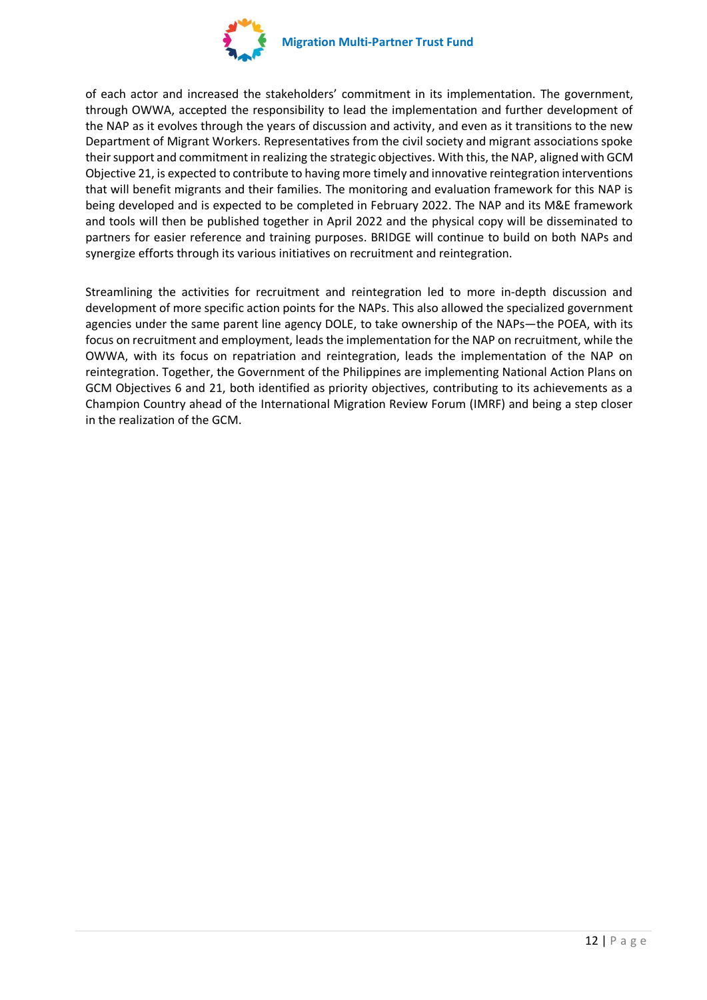

of each actor and increased the stakeholders' commitment in its implementation. The government, through OWWA, accepted the responsibility to lead the implementation and further development of the NAP as it evolves through the years of discussion and activity, and even as it transitions to the new Department of Migrant Workers. Representatives from the civil society and migrant associations spoke their support and commitment in realizing the strategic objectives. With this, the NAP, aligned with GCM Objective 21, is expected to contribute to having more timely and innovative reintegration interventions that will benefit migrants and their families. The monitoring and evaluation framework for this NAP is being developed and is expected to be completed in February 2022. The NAP and its M&E framework and tools will then be published together in April 2022 and the physical copy will be disseminated to partners for easier reference and training purposes. BRIDGE will continue to build on both NAPs and synergize efforts through its various initiatives on recruitment and reintegration.

Streamlining the activities for recruitment and reintegration led to more in-depth discussion and development of more specific action points for the NAPs. This also allowed the specialized government agencies under the same parent line agency DOLE, to take ownership of the NAPs—the POEA, with its focus on recruitment and employment, leads the implementation for the NAP on recruitment, while the OWWA, with its focus on repatriation and reintegration, leads the implementation of the NAP on reintegration. Together, the Government of the Philippines are implementing National Action Plans on GCM Objectives 6 and 21, both identified as priority objectives, contributing to its achievements as a Champion Country ahead of the International Migration Review Forum (IMRF) and being a step closer in the realization of the GCM.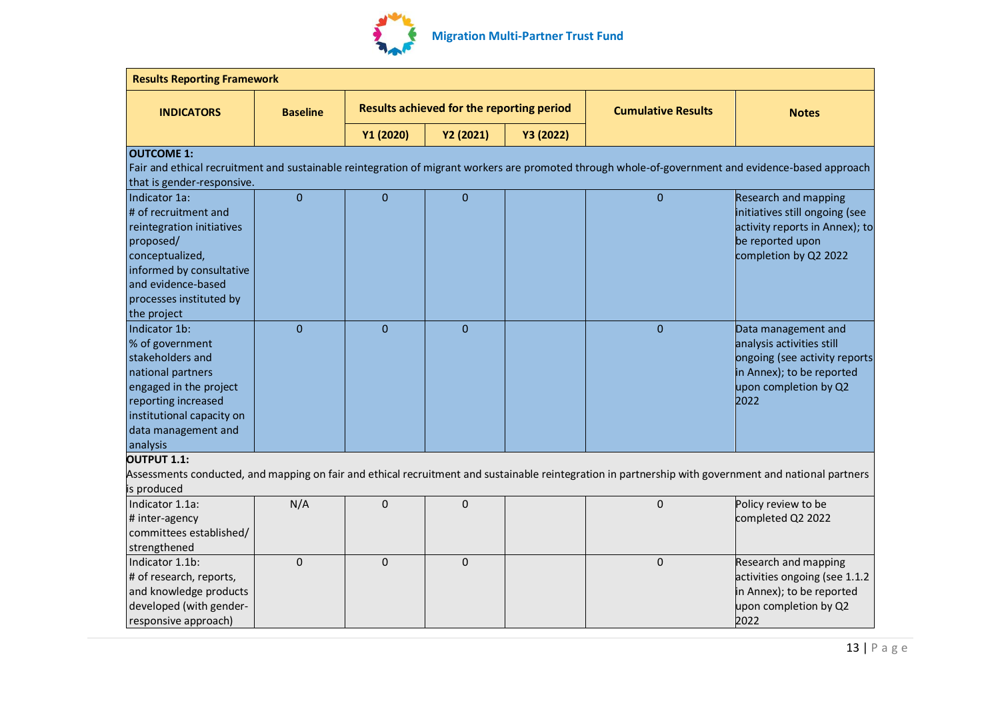

|                            | <b>Results Reporting Framework</b> |              |                                           |           |                           |                                                                                                                                                       |  |
|----------------------------|------------------------------------|--------------|-------------------------------------------|-----------|---------------------------|-------------------------------------------------------------------------------------------------------------------------------------------------------|--|
| <b>INDICATORS</b>          | <b>Baseline</b>                    |              | Results achieved for the reporting period |           | <b>Cumulative Results</b> | <b>Notes</b>                                                                                                                                          |  |
|                            |                                    | Y1 (2020)    | Y2 (2021)                                 | Y3 (2022) |                           |                                                                                                                                                       |  |
| <b>OUTCOME 1:</b>          |                                    |              |                                           |           |                           |                                                                                                                                                       |  |
|                            |                                    |              |                                           |           |                           | Fair and ethical recruitment and sustainable reintegration of migrant workers are promoted through whole-of-government and evidence-based approach    |  |
| that is gender-responsive. |                                    |              |                                           |           |                           |                                                                                                                                                       |  |
| Indicator 1a:              | $\mathbf{0}$                       | $\mathbf{0}$ | $\mathbf{0}$                              |           | $\mathbf 0$               | Research and mapping                                                                                                                                  |  |
| # of recruitment and       |                                    |              |                                           |           |                           | initiatives still ongoing (see                                                                                                                        |  |
| reintegration initiatives  |                                    |              |                                           |           |                           | activity reports in Annex); to                                                                                                                        |  |
| proposed/                  |                                    |              |                                           |           |                           | be reported upon                                                                                                                                      |  |
| conceptualized,            |                                    |              |                                           |           |                           | completion by Q2 2022                                                                                                                                 |  |
| informed by consultative   |                                    |              |                                           |           |                           |                                                                                                                                                       |  |
| and evidence-based         |                                    |              |                                           |           |                           |                                                                                                                                                       |  |
| processes instituted by    |                                    |              |                                           |           |                           |                                                                                                                                                       |  |
| the project                |                                    |              |                                           |           |                           |                                                                                                                                                       |  |
| Indicator 1b:              | $\Omega$                           | $\Omega$     | $\Omega$                                  |           | $\mathbf{0}$              | Data management and                                                                                                                                   |  |
| % of government            |                                    |              |                                           |           |                           | analysis activities still                                                                                                                             |  |
| stakeholders and           |                                    |              |                                           |           |                           | ongoing (see activity reports                                                                                                                         |  |
| national partners          |                                    |              |                                           |           |                           | in Annex); to be reported                                                                                                                             |  |
| engaged in the project     |                                    |              |                                           |           |                           | upon completion by Q2                                                                                                                                 |  |
| reporting increased        |                                    |              |                                           |           |                           | 2022                                                                                                                                                  |  |
| institutional capacity on  |                                    |              |                                           |           |                           |                                                                                                                                                       |  |
| data management and        |                                    |              |                                           |           |                           |                                                                                                                                                       |  |
| analysis                   |                                    |              |                                           |           |                           |                                                                                                                                                       |  |
| <b>OUTPUT 1.1:</b>         |                                    |              |                                           |           |                           |                                                                                                                                                       |  |
|                            |                                    |              |                                           |           |                           | Assessments conducted, and mapping on fair and ethical recruitment and sustainable reintegration in partnership with government and national partners |  |
| is produced                |                                    |              |                                           |           |                           |                                                                                                                                                       |  |
| Indicator 1.1a:            | N/A                                | $\Omega$     | $\mathbf 0$                               |           | 0                         | Policy review to be                                                                                                                                   |  |
| # inter-agency             |                                    |              |                                           |           |                           | completed Q2 2022                                                                                                                                     |  |
| committees established/    |                                    |              |                                           |           |                           |                                                                                                                                                       |  |
| strengthened               |                                    |              |                                           |           |                           |                                                                                                                                                       |  |
| Indicator 1.1b:            | $\Omega$                           | $\mathbf{0}$ | $\mathbf 0$                               |           | $\mathbf 0$               | Research and mapping                                                                                                                                  |  |
| # of research, reports,    |                                    |              |                                           |           |                           | activities ongoing (see 1.1.2                                                                                                                         |  |
| and knowledge products     |                                    |              |                                           |           |                           | in Annex); to be reported                                                                                                                             |  |
| developed (with gender-    |                                    |              |                                           |           |                           | upon completion by Q2                                                                                                                                 |  |
| responsive approach)       |                                    |              |                                           |           |                           | 2022                                                                                                                                                  |  |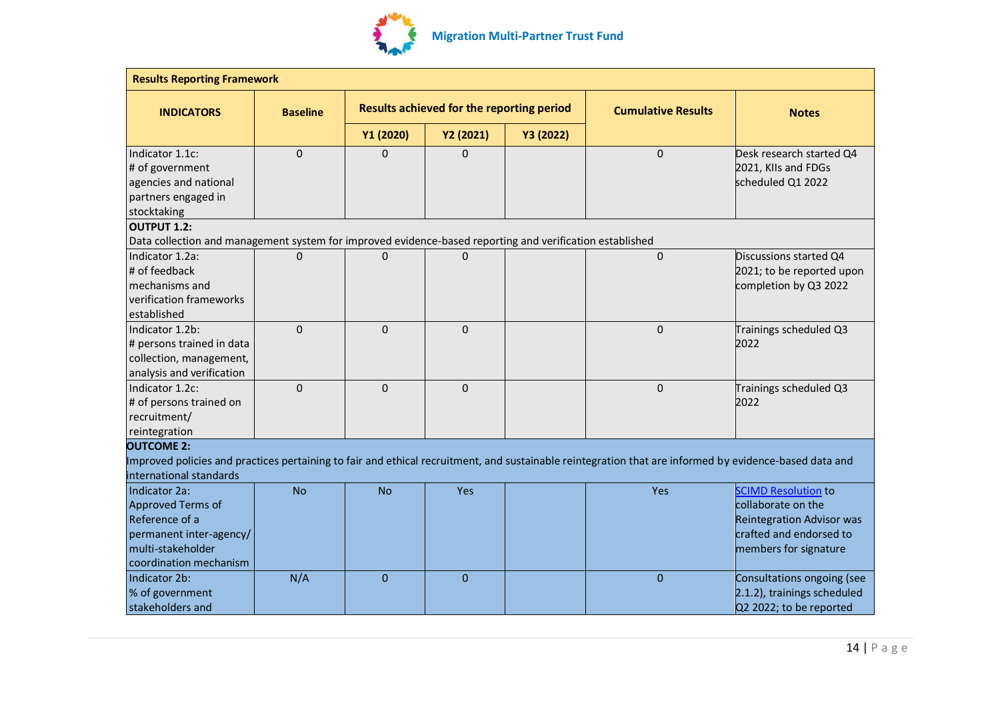

| <b>Results Reporting Framework</b>                                                                                             |                                                              |              |              |           |                                                                                                                                                        |                                                                                                                                          |  |
|--------------------------------------------------------------------------------------------------------------------------------|--------------------------------------------------------------|--------------|--------------|-----------|--------------------------------------------------------------------------------------------------------------------------------------------------------|------------------------------------------------------------------------------------------------------------------------------------------|--|
| <b>INDICATORS</b>                                                                                                              | Results achieved for the reporting period<br><b>Baseline</b> |              |              |           | <b>Cumulative Results</b>                                                                                                                              | <b>Notes</b>                                                                                                                             |  |
|                                                                                                                                |                                                              | Y1 (2020)    | Y2 (2021)    | Y3 (2022) |                                                                                                                                                        |                                                                                                                                          |  |
| Indicator 1.1c:<br># of government<br>agencies and national<br>partners engaged in<br>stocktaking                              | $\mathbf 0$                                                  | 0            | 0            |           | $\mathbf 0$                                                                                                                                            | Desk research started Q4<br>2021, KIIs and FDGs<br>scheduled Q1 2022                                                                     |  |
| <b>OUTPUT 1.2:</b>                                                                                                             |                                                              |              |              |           |                                                                                                                                                        |                                                                                                                                          |  |
| Data collection and management system for improved evidence-based reporting and verification established                       |                                                              |              |              |           |                                                                                                                                                        |                                                                                                                                          |  |
| Indicator 1.2a:<br># of feedback<br>mechanisms and<br>verification frameworks<br>established                                   | $\Omega$                                                     | $\Omega$     | 0            |           | $\Omega$                                                                                                                                               | Discussions started Q4<br>2021; to be reported upon<br>completion by Q3 2022                                                             |  |
| Indicator 1.2b:<br># persons trained in data<br>collection, management,<br>analysis and verification                           | $\Omega$                                                     | $\Omega$     | $\mathbf 0$  |           | $\Omega$                                                                                                                                               | Trainings scheduled Q3<br>2022                                                                                                           |  |
| Indicator 1.2c:<br># of persons trained on<br>recruitment/<br>reintegration                                                    | $\Omega$                                                     | $\Omega$     | $\mathbf 0$  |           | $\mathbf 0$                                                                                                                                            | Trainings scheduled Q3<br>2022                                                                                                           |  |
| <b>OUTCOME 2:</b>                                                                                                              |                                                              |              |              |           |                                                                                                                                                        |                                                                                                                                          |  |
| international standards                                                                                                        |                                                              |              |              |           | Improved policies and practices pertaining to fair and ethical recruitment, and sustainable reintegration that are informed by evidence-based data and |                                                                                                                                          |  |
| Indicator 2a:<br>Approved Terms of<br>Reference of a<br>permanent inter-agency/<br>multi-stakeholder<br>coordination mechanism | <b>No</b>                                                    | <b>No</b>    | Yes          |           | Yes                                                                                                                                                    | <b>SCIMD Resolution to</b><br>collaborate on the<br><b>Reintegration Advisor was</b><br>crafted and endorsed to<br>members for signature |  |
| Indicator 2b:<br>% of government<br>stakeholders and                                                                           | N/A                                                          | $\mathbf{0}$ | $\mathbf{0}$ |           | $\mathbf{0}$                                                                                                                                           | Consultations ongoing (see<br>2.1.2), trainings scheduled<br>Q2 2022; to be reported                                                     |  |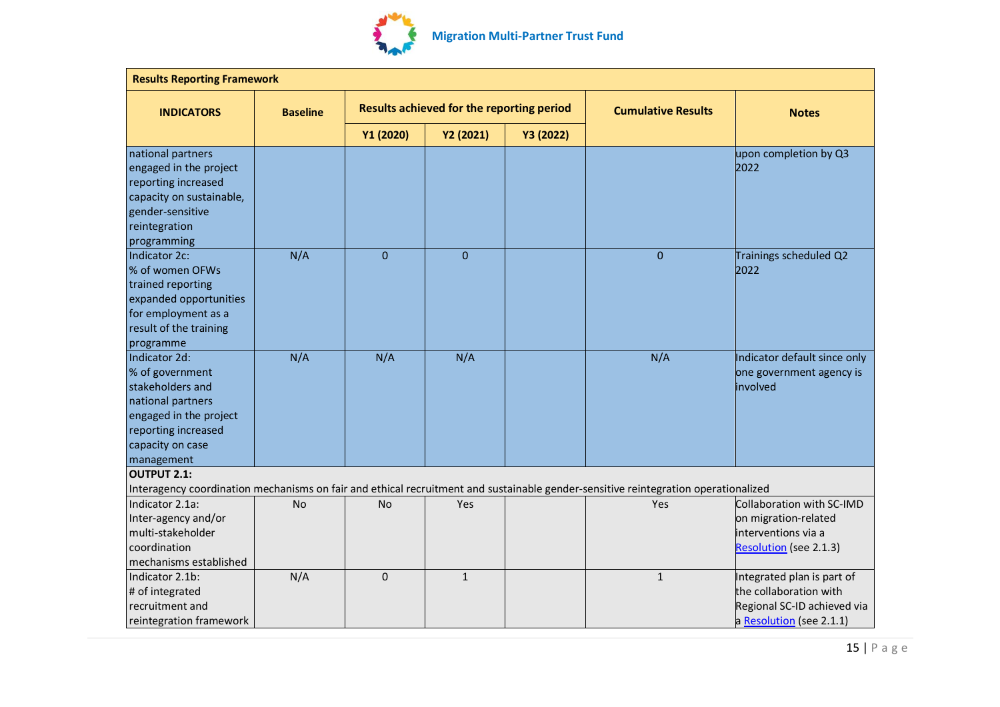

| <b>Results Reporting Framework</b>                                                                                                                           |                 |             |                                           |                           |                                                                                                                                    |                                                                                                                 |
|--------------------------------------------------------------------------------------------------------------------------------------------------------------|-----------------|-------------|-------------------------------------------|---------------------------|------------------------------------------------------------------------------------------------------------------------------------|-----------------------------------------------------------------------------------------------------------------|
| <b>INDICATORS</b>                                                                                                                                            | <b>Baseline</b> |             | Results achieved for the reporting period | <b>Cumulative Results</b> | <b>Notes</b>                                                                                                                       |                                                                                                                 |
|                                                                                                                                                              |                 | Y1 (2020)   | Y2 (2021)                                 | Y3 (2022)                 |                                                                                                                                    |                                                                                                                 |
| national partners<br>engaged in the project<br>reporting increased<br>capacity on sustainable,<br>gender-sensitive<br>reintegration<br>programming           |                 |             |                                           |                           |                                                                                                                                    | upon completion by Q3<br>2022                                                                                   |
| Indicator 2c:<br>% of women OFWs<br>trained reporting<br>expanded opportunities<br>for employment as a<br>result of the training<br>programme                | N/A             | $\mathbf 0$ | $\mathbf{0}$                              |                           | $\Omega$                                                                                                                           | Trainings scheduled Q2<br>2022                                                                                  |
| Indicator 2d:<br>% of government<br>stakeholders and<br>national partners<br>engaged in the project<br>reporting increased<br>capacity on case<br>management | N/A             | N/A         | N/A                                       |                           | N/A                                                                                                                                | Indicator default since only<br>one government agency is<br>involved                                            |
| <b>OUTPUT 2.1:</b>                                                                                                                                           |                 |             |                                           |                           | Interagency coordination mechanisms on fair and ethical recruitment and sustainable gender-sensitive reintegration operationalized |                                                                                                                 |
| Indicator 2.1a:<br>Inter-agency and/or<br>multi-stakeholder<br>coordination<br>mechanisms established                                                        | No              | <b>No</b>   | Yes                                       |                           | Yes                                                                                                                                | Collaboration with SC-IMD<br>on migration-related<br>interventions via a<br><b>Resolution</b> (see 2.1.3)       |
| Indicator 2.1b:<br># of integrated<br>recruitment and<br>reintegration framework                                                                             | N/A             | $\mathbf 0$ | $\mathbf{1}$                              |                           | $\mathbf{1}$                                                                                                                       | Integrated plan is part of<br>the collaboration with<br>Regional SC-ID achieved via<br>a Resolution (see 2.1.1) |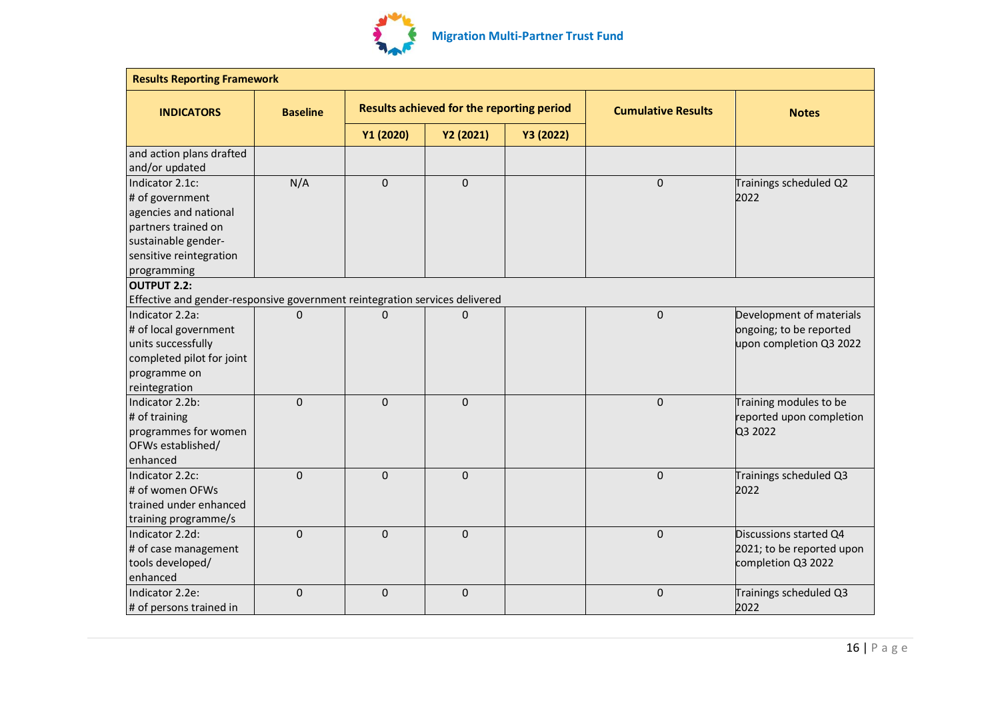

| <b>Results Reporting Framework</b>                                          |                 |             |                                           |           |                           |                           |  |
|-----------------------------------------------------------------------------|-----------------|-------------|-------------------------------------------|-----------|---------------------------|---------------------------|--|
| <b>INDICATORS</b>                                                           | <b>Baseline</b> |             | Results achieved for the reporting period |           | <b>Cumulative Results</b> | <b>Notes</b>              |  |
|                                                                             |                 | Y1 (2020)   | Y2 (2021)                                 | Y3 (2022) |                           |                           |  |
| and action plans drafted<br>and/or updated                                  |                 |             |                                           |           |                           |                           |  |
| Indicator 2.1c:                                                             | N/A             | $\mathbf 0$ | $\mathbf 0$                               |           | $\mathbf 0$               | Trainings scheduled Q2    |  |
| # of government                                                             |                 |             |                                           |           |                           | 2022                      |  |
| agencies and national                                                       |                 |             |                                           |           |                           |                           |  |
| partners trained on                                                         |                 |             |                                           |           |                           |                           |  |
| sustainable gender-                                                         |                 |             |                                           |           |                           |                           |  |
| sensitive reintegration                                                     |                 |             |                                           |           |                           |                           |  |
| programming                                                                 |                 |             |                                           |           |                           |                           |  |
| <b>OUTPUT 2.2:</b>                                                          |                 |             |                                           |           |                           |                           |  |
| Effective and gender-responsive government reintegration services delivered |                 |             |                                           |           |                           |                           |  |
| Indicator 2.2a:                                                             | $\Omega$        | 0           | 0                                         |           | $\mathbf 0$               | Development of materials  |  |
| # of local government                                                       |                 |             |                                           |           |                           | ongoing; to be reported   |  |
| units successfully                                                          |                 |             |                                           |           |                           | upon completion Q3 2022   |  |
| completed pilot for joint                                                   |                 |             |                                           |           |                           |                           |  |
| programme on                                                                |                 |             |                                           |           |                           |                           |  |
| reintegration                                                               |                 |             |                                           |           |                           |                           |  |
| Indicator 2.2b:                                                             | $\Omega$        | $\mathbf 0$ | $\mathbf{0}$                              |           | $\mathbf 0$               | Training modules to be    |  |
| # of training                                                               |                 |             |                                           |           |                           | reported upon completion  |  |
| programmes for women                                                        |                 |             |                                           |           |                           | Q3 2022                   |  |
| OFWs established/                                                           |                 |             |                                           |           |                           |                           |  |
| enhanced                                                                    |                 |             |                                           |           |                           |                           |  |
| Indicator 2.2c:                                                             | $\Omega$        | $\mathbf 0$ | $\mathbf 0$                               |           | $\mathbf 0$               | Trainings scheduled Q3    |  |
| # of women OFWs                                                             |                 |             |                                           |           |                           | 2022                      |  |
| trained under enhanced                                                      |                 |             |                                           |           |                           |                           |  |
| training programme/s                                                        |                 |             |                                           |           |                           |                           |  |
| Indicator 2.2d:                                                             | $\Omega$        | $\mathbf 0$ | $\mathbf{0}$                              |           | $\mathbf 0$               | Discussions started Q4    |  |
| # of case management                                                        |                 |             |                                           |           |                           | 2021; to be reported upon |  |
| tools developed/                                                            |                 |             |                                           |           |                           | completion Q3 2022        |  |
| enhanced                                                                    |                 |             |                                           |           |                           |                           |  |
| Indicator 2.2e:                                                             | $\mathbf 0$     | $\mathbf 0$ | $\pmb{0}$                                 |           | $\mathbf 0$               | Trainings scheduled Q3    |  |
| # of persons trained in                                                     |                 |             |                                           |           |                           | 2022                      |  |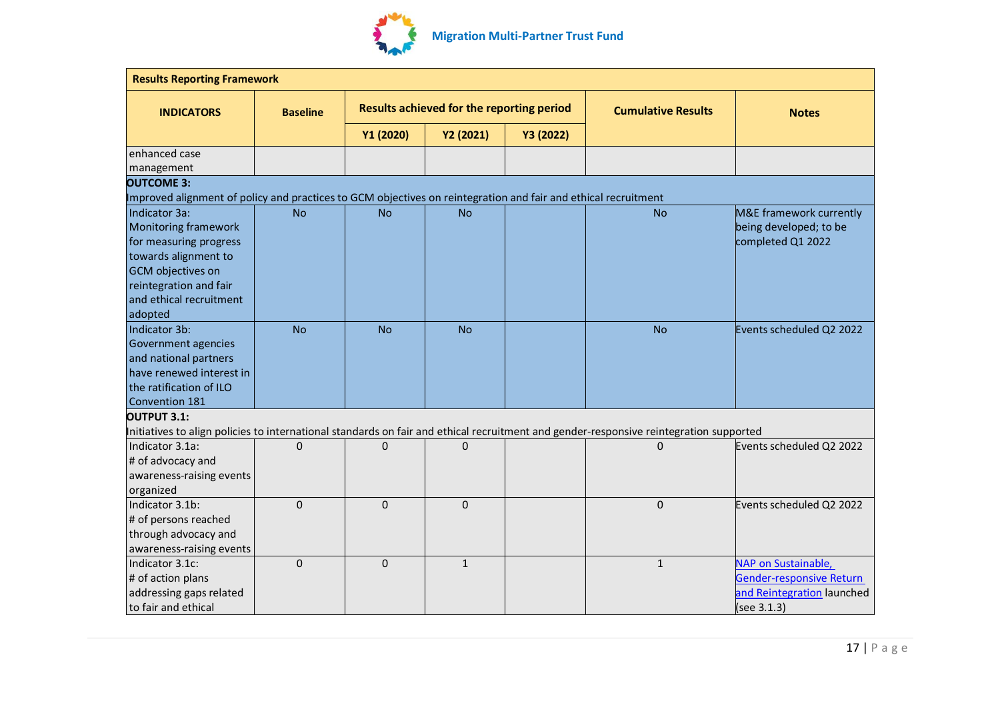

| <b>Results Reporting Framework</b>                                                                             |                 |                                           |              |           |                                                                                                                                        |                                 |
|----------------------------------------------------------------------------------------------------------------|-----------------|-------------------------------------------|--------------|-----------|----------------------------------------------------------------------------------------------------------------------------------------|---------------------------------|
| <b>INDICATORS</b>                                                                                              | <b>Baseline</b> | Results achieved for the reporting period |              |           | <b>Cumulative Results</b>                                                                                                              | <b>Notes</b>                    |
|                                                                                                                |                 | Y1 (2020)                                 | Y2 (2021)    | Y3 (2022) |                                                                                                                                        |                                 |
| enhanced case                                                                                                  |                 |                                           |              |           |                                                                                                                                        |                                 |
| management                                                                                                     |                 |                                           |              |           |                                                                                                                                        |                                 |
| <b>OUTCOME 3:</b>                                                                                              |                 |                                           |              |           |                                                                                                                                        |                                 |
| Improved alignment of policy and practices to GCM objectives on reintegration and fair and ethical recruitment |                 |                                           |              |           |                                                                                                                                        |                                 |
| Indicator 3a:                                                                                                  | <b>No</b>       | <b>No</b>                                 | No.          |           | <b>No</b>                                                                                                                              | M&E framework currently         |
| Monitoring framework                                                                                           |                 |                                           |              |           |                                                                                                                                        | being developed; to be          |
| for measuring progress                                                                                         |                 |                                           |              |           |                                                                                                                                        | completed Q1 2022               |
| towards alignment to                                                                                           |                 |                                           |              |           |                                                                                                                                        |                                 |
| GCM objectives on                                                                                              |                 |                                           |              |           |                                                                                                                                        |                                 |
| reintegration and fair                                                                                         |                 |                                           |              |           |                                                                                                                                        |                                 |
| and ethical recruitment                                                                                        |                 |                                           |              |           |                                                                                                                                        |                                 |
| adopted                                                                                                        |                 |                                           |              |           |                                                                                                                                        |                                 |
| Indicator 3b:                                                                                                  | <b>No</b>       | <b>No</b>                                 | <b>No</b>    |           | <b>No</b>                                                                                                                              | Events scheduled Q2 2022        |
| Government agencies                                                                                            |                 |                                           |              |           |                                                                                                                                        |                                 |
| and national partners                                                                                          |                 |                                           |              |           |                                                                                                                                        |                                 |
| have renewed interest in                                                                                       |                 |                                           |              |           |                                                                                                                                        |                                 |
| the ratification of ILO                                                                                        |                 |                                           |              |           |                                                                                                                                        |                                 |
| Convention 181                                                                                                 |                 |                                           |              |           |                                                                                                                                        |                                 |
| <b>OUTPUT 3.1:</b>                                                                                             |                 |                                           |              |           |                                                                                                                                        |                                 |
|                                                                                                                |                 |                                           |              |           | Initiatives to align policies to international standards on fair and ethical recruitment and gender-responsive reintegration supported |                                 |
| Indicator 3.1a:                                                                                                | $\Omega$        | 0                                         | $\Omega$     |           | $\mathbf 0$                                                                                                                            | Events scheduled Q2 2022        |
| # of advocacy and                                                                                              |                 |                                           |              |           |                                                                                                                                        |                                 |
| awareness-raising events                                                                                       |                 |                                           |              |           |                                                                                                                                        |                                 |
| organized                                                                                                      |                 |                                           |              |           |                                                                                                                                        |                                 |
| Indicator 3.1b:                                                                                                | $\Omega$        | $\mathbf{0}$                              | $\mathbf{0}$ |           | $\mathbf 0$                                                                                                                            | Events scheduled Q2 2022        |
| # of persons reached                                                                                           |                 |                                           |              |           |                                                                                                                                        |                                 |
| through advocacy and                                                                                           |                 |                                           |              |           |                                                                                                                                        |                                 |
| awareness-raising events                                                                                       |                 |                                           |              |           |                                                                                                                                        |                                 |
| Indicator 3.1c:                                                                                                | $\Omega$        | $\Omega$                                  | $\mathbf{1}$ |           | $\mathbf{1}$                                                                                                                           | NAP on Sustainable,             |
| # of action plans                                                                                              |                 |                                           |              |           |                                                                                                                                        | <b>Gender-responsive Return</b> |
| addressing gaps related                                                                                        |                 |                                           |              |           |                                                                                                                                        | and Reintegration launched      |
| to fair and ethical                                                                                            |                 |                                           |              |           |                                                                                                                                        | (see 3.1.3)                     |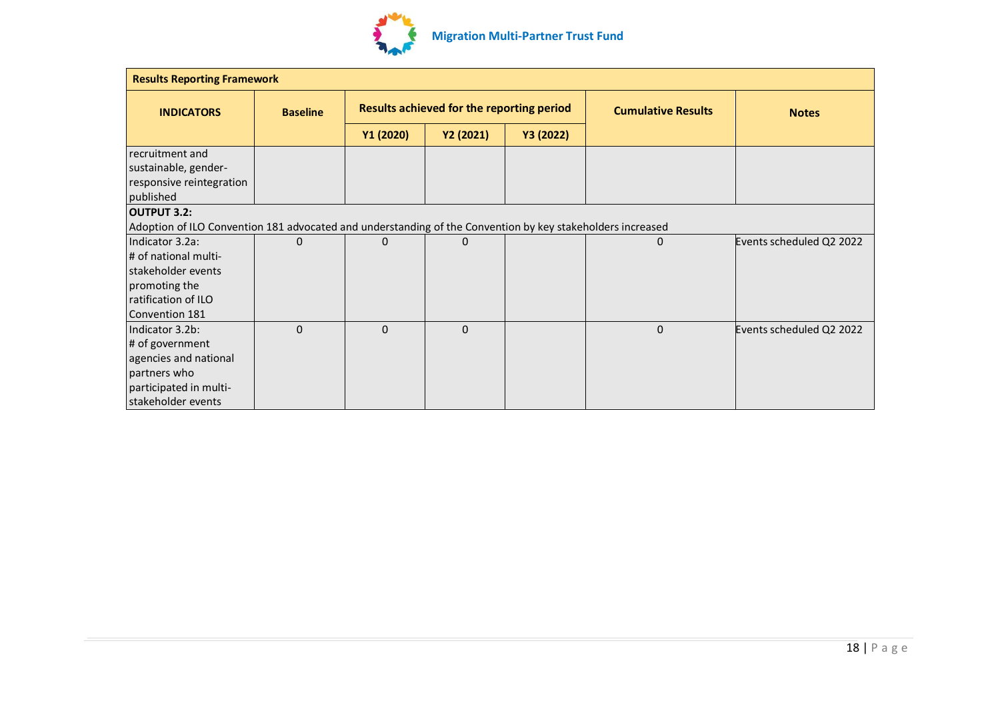

| <b>Results Reporting Framework</b>                                                                         |                 |                                           |           |           |                           |                          |  |
|------------------------------------------------------------------------------------------------------------|-----------------|-------------------------------------------|-----------|-----------|---------------------------|--------------------------|--|
| <b>INDICATORS</b>                                                                                          | <b>Baseline</b> | Results achieved for the reporting period |           |           | <b>Cumulative Results</b> | <b>Notes</b>             |  |
|                                                                                                            |                 | Y1 (2020)                                 | Y2 (2021) | Y3 (2022) |                           |                          |  |
| recruitment and                                                                                            |                 |                                           |           |           |                           |                          |  |
| sustainable, gender-                                                                                       |                 |                                           |           |           |                           |                          |  |
| responsive reintegration                                                                                   |                 |                                           |           |           |                           |                          |  |
| published                                                                                                  |                 |                                           |           |           |                           |                          |  |
| <b>OUTPUT 3.2:</b>                                                                                         |                 |                                           |           |           |                           |                          |  |
| Adoption of ILO Convention 181 advocated and understanding of the Convention by key stakeholders increased |                 |                                           |           |           |                           |                          |  |
| Indicator 3.2a:                                                                                            | $\mathbf 0$     | 0                                         | 0         |           | 0                         | Events scheduled Q2 2022 |  |
| # of national multi-                                                                                       |                 |                                           |           |           |                           |                          |  |
| stakeholder events                                                                                         |                 |                                           |           |           |                           |                          |  |
| promoting the                                                                                              |                 |                                           |           |           |                           |                          |  |
| ratification of ILO                                                                                        |                 |                                           |           |           |                           |                          |  |
| Convention 181                                                                                             |                 |                                           |           |           |                           |                          |  |
| Indicator 3.2b:                                                                                            | $\Omega$        | 0                                         | 0         |           | $\Omega$                  | Events scheduled Q2 2022 |  |
| # of government                                                                                            |                 |                                           |           |           |                           |                          |  |
| agencies and national                                                                                      |                 |                                           |           |           |                           |                          |  |
| partners who                                                                                               |                 |                                           |           |           |                           |                          |  |
| participated in multi-                                                                                     |                 |                                           |           |           |                           |                          |  |
| stakeholder events                                                                                         |                 |                                           |           |           |                           |                          |  |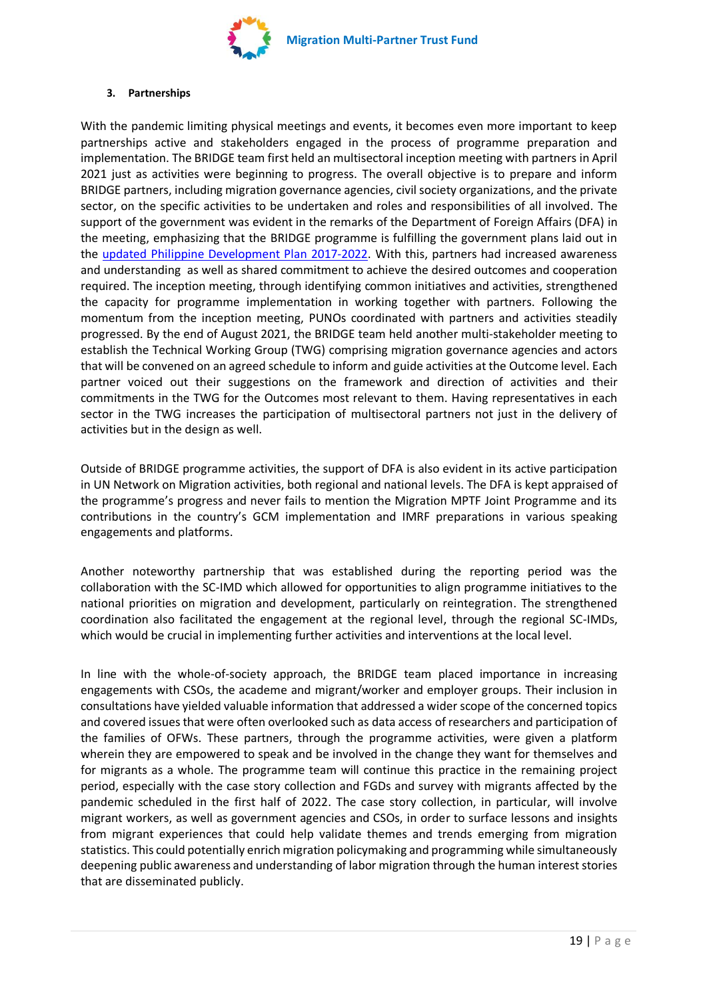

#### **3. Partnerships**

With the pandemic limiting physical meetings and events, it becomes even more important to keep partnerships active and stakeholders engaged in the process of programme preparation and implementation. The BRIDGE team first held an multisectoral inception meeting with partners in April 2021 just as activities were beginning to progress. The overall objective is to prepare and inform BRIDGE partners, including migration governance agencies, civil society organizations, and the private sector, on the specific activities to be undertaken and roles and responsibilities of all involved. The support of the government was evident in the remarks of the Department of Foreign Affairs (DFA) in the meeting, emphasizing that the BRIDGE programme is fulfilling the government plans laid out in the updated [Philippine Development Plan 2017-2022.](https://pdp.neda.gov.ph/updated-pdp-2017-2022/) With this, partners had increased awareness and understanding as well as shared commitment to achieve the desired outcomes and cooperation required. The inception meeting, through identifying common initiatives and activities, strengthened the capacity for programme implementation in working together with partners. Following the momentum from the inception meeting, PUNOs coordinated with partners and activities steadily progressed. By the end of August 2021, the BRIDGE team held another multi-stakeholder meeting to establish the Technical Working Group (TWG) comprising migration governance agencies and actors that will be convened on an agreed schedule to inform and guide activities at the Outcome level. Each partner voiced out their suggestions on the framework and direction of activities and their commitments in the TWG for the Outcomes most relevant to them. Having representatives in each sector in the TWG increases the participation of multisectoral partners not just in the delivery of activities but in the design as well.

Outside of BRIDGE programme activities, the support of DFA is also evident in its active participation in UN Network on Migration activities, both regional and national levels. The DFA is kept appraised of the programme's progress and never fails to mention the Migration MPTF Joint Programme and its contributions in the country's GCM implementation and IMRF preparations in various speaking engagements and platforms.

Another noteworthy partnership that was established during the reporting period was the collaboration with the SC-IMD which allowed for opportunities to align programme initiatives to the national priorities on migration and development, particularly on reintegration. The strengthened coordination also facilitated the engagement at the regional level, through the regional SC-IMDs, which would be crucial in implementing further activities and interventions at the local level.

In line with the whole-of-society approach, the BRIDGE team placed importance in increasing engagements with CSOs, the academe and migrant/worker and employer groups. Their inclusion in consultations have yielded valuable information that addressed a wider scope of the concerned topics and covered issues that were often overlooked such as data access of researchers and participation of the families of OFWs. These partners, through the programme activities, were given a platform wherein they are empowered to speak and be involved in the change they want for themselves and for migrants as a whole. The programme team will continue this practice in the remaining project period, especially with the case story collection and FGDs and survey with migrants affected by the pandemic scheduled in the first half of 2022. The case story collection, in particular, will involve migrant workers, as well as government agencies and CSOs, in order to surface lessons and insights from migrant experiences that could help validate themes and trends emerging from migration statistics. This could potentially enrich migration policymaking and programming while simultaneously deepening public awareness and understanding of labor migration through the human interest stories that are disseminated publicly.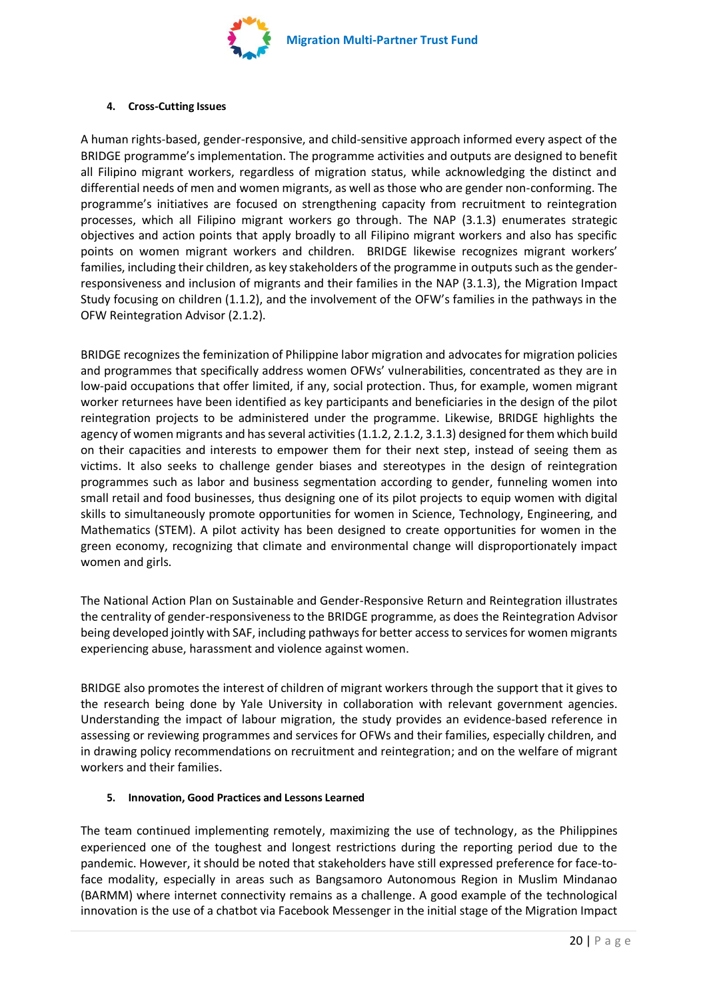

#### **4. Cross-Cutting Issues**

A human rights-based, gender-responsive, and child-sensitive approach informed every aspect of the BRIDGE programme's implementation. The programme activities and outputs are designed to benefit all Filipino migrant workers, regardless of migration status, while acknowledging the distinct and differential needs of men and women migrants, as well as those who are gender non-conforming. The programme's initiatives are focused on strengthening capacity from recruitment to reintegration processes, which all Filipino migrant workers go through. The NAP (3.1.3) enumerates strategic objectives and action points that apply broadly to all Filipino migrant workers and also has specific points on women migrant workers and children. BRIDGE likewise recognizes migrant workers' families, including their children, as key stakeholders of the programme in outputs such as the genderresponsiveness and inclusion of migrants and their families in the NAP (3.1.3), the Migration Impact Study focusing on children (1.1.2), and the involvement of the OFW's families in the pathways in the OFW Reintegration Advisor (2.1.2).

BRIDGE recognizes the feminization of Philippine labor migration and advocates for migration policies and programmes that specifically address women OFWs' vulnerabilities, concentrated as they are in low-paid occupations that offer limited, if any, social protection. Thus, for example, women migrant worker returnees have been identified as key participants and beneficiaries in the design of the pilot reintegration projects to be administered under the programme. Likewise, BRIDGE highlights the agency of women migrants and has several activities (1.1.2, 2.1.2, 3.1.3) designed for them which build on their capacities and interests to empower them for their next step, instead of seeing them as victims. It also seeks to challenge gender biases and stereotypes in the design of reintegration programmes such as labor and business segmentation according to gender, funneling women into small retail and food businesses, thus designing one of its pilot projects to equip women with digital skills to simultaneously promote opportunities for women in Science, Technology, Engineering, and Mathematics (STEM). A pilot activity has been designed to create opportunities for women in the green economy, recognizing that climate and environmental change will disproportionately impact women and girls.

The National Action Plan on Sustainable and Gender-Responsive Return and Reintegration illustrates the centrality of gender-responsiveness to the BRIDGE programme, as does the Reintegration Advisor being developed jointly with SAF, including pathways for better access to services for women migrants experiencing abuse, harassment and violence against women.

BRIDGE also promotes the interest of children of migrant workers through the support that it gives to the research being done by Yale University in collaboration with relevant government agencies. Understanding the impact of labour migration, the study provides an evidence-based reference in assessing or reviewing programmes and services for OFWs and their families, especially children, and in drawing policy recommendations on recruitment and reintegration; and on the welfare of migrant workers and their families.

# **5. Innovation, Good Practices and Lessons Learned**

The team continued implementing remotely, maximizing the use of technology, as the Philippines experienced one of the toughest and longest restrictions during the reporting period due to the pandemic. However, it should be noted that stakeholders have still expressed preference for face-toface modality, especially in areas such as Bangsamoro Autonomous Region in Muslim Mindanao (BARMM) where internet connectivity remains as a challenge. A good example of the technological innovation is the use of a chatbot via Facebook Messenger in the initial stage of the Migration Impact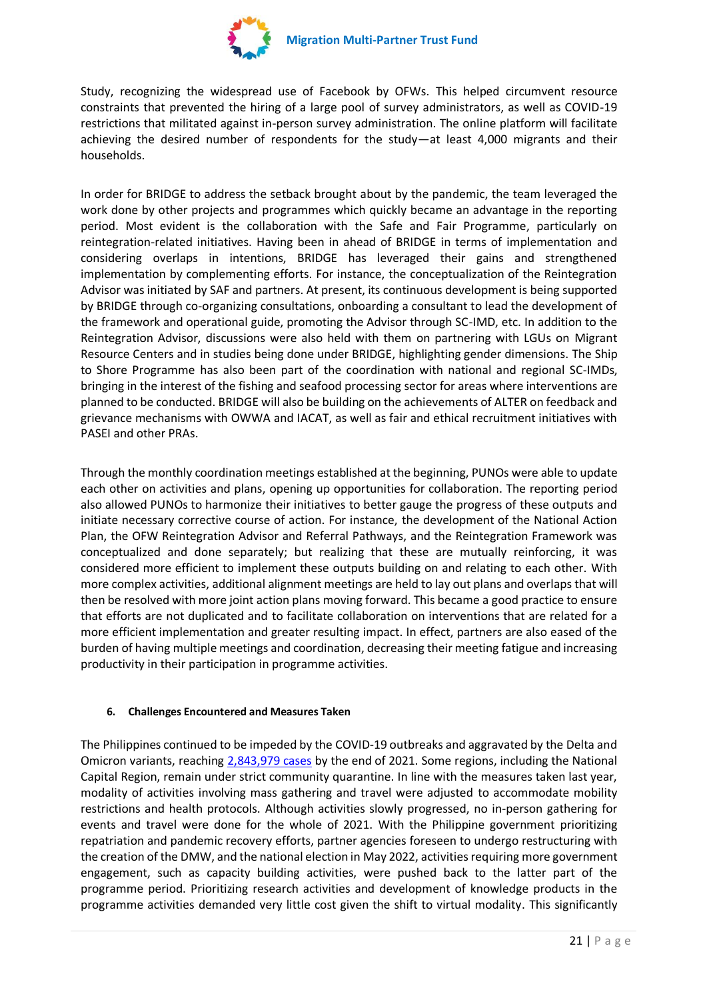

Study, recognizing the widespread use of Facebook by OFWs. This helped circumvent resource constraints that prevented the hiring of a large pool of survey administrators, as well as COVID-19 restrictions that militated against in-person survey administration. The online platform will facilitate achieving the desired number of respondents for the study—at least 4,000 migrants and their households.

In order for BRIDGE to address the setback brought about by the pandemic, the team leveraged the work done by other projects and programmes which quickly became an advantage in the reporting period. Most evident is the collaboration with the Safe and Fair Programme, particularly on reintegration-related initiatives. Having been in ahead of BRIDGE in terms of implementation and considering overlaps in intentions, BRIDGE has leveraged their gains and strengthened implementation by complementing efforts. For instance, the conceptualization of the Reintegration Advisor was initiated by SAF and partners. At present, its continuous development is being supported by BRIDGE through co-organizing consultations, onboarding a consultant to lead the development of the framework and operational guide, promoting the Advisor through SC-IMD, etc. In addition to the Reintegration Advisor, discussions were also held with them on partnering with LGUs on Migrant Resource Centers and in studies being done under BRIDGE, highlighting gender dimensions. The Ship to Shore Programme has also been part of the coordination with national and regional SC-IMDs, bringing in the interest of the fishing and seafood processing sector for areas where interventions are planned to be conducted. BRIDGE will also be building on the achievements of ALTER on feedback and grievance mechanisms with OWWA and IACAT, as well as fair and ethical recruitment initiatives with PASEI and other PRAs.

Through the monthly coordination meetings established at the beginning, PUNOs were able to update each other on activities and plans, opening up opportunities for collaboration. The reporting period also allowed PUNOs to harmonize their initiatives to better gauge the progress of these outputs and initiate necessary corrective course of action. For instance, the development of the National Action Plan, the OFW Reintegration Advisor and Referral Pathways, and the Reintegration Framework was conceptualized and done separately; but realizing that these are mutually reinforcing, it was considered more efficient to implement these outputs building on and relating to each other. With more complex activities, additional alignment meetings are held to lay out plans and overlaps that will then be resolved with more joint action plans moving forward. This became a good practice to ensure that efforts are not duplicated and to facilitate collaboration on interventions that are related for a more efficient implementation and greater resulting impact. In effect, partners are also eased of the burden of having multiple meetings and coordination, decreasing their meeting fatigue and increasing productivity in their participation in programme activities.

# **6. Challenges Encountered and Measures Taken**

The Philippines continued to be impeded by the COVID-19 outbreaks and aggravated by the Delta and Omicron variants, reaching [2,843,979 cases](https://doh.gov.ph/covid19casebulletin657) by the end of 2021. Some regions, including the National Capital Region, remain under strict community quarantine. In line with the measures taken last year, modality of activities involving mass gathering and travel were adjusted to accommodate mobility restrictions and health protocols. Although activities slowly progressed, no in-person gathering for events and travel were done for the whole of 2021. With the Philippine government prioritizing repatriation and pandemic recovery efforts, partner agencies foreseen to undergo restructuring with the creation of the DMW, and the national election in May 2022, activities requiring more government engagement, such as capacity building activities, were pushed back to the latter part of the programme period. Prioritizing research activities and development of knowledge products in the programme activities demanded very little cost given the shift to virtual modality. This significantly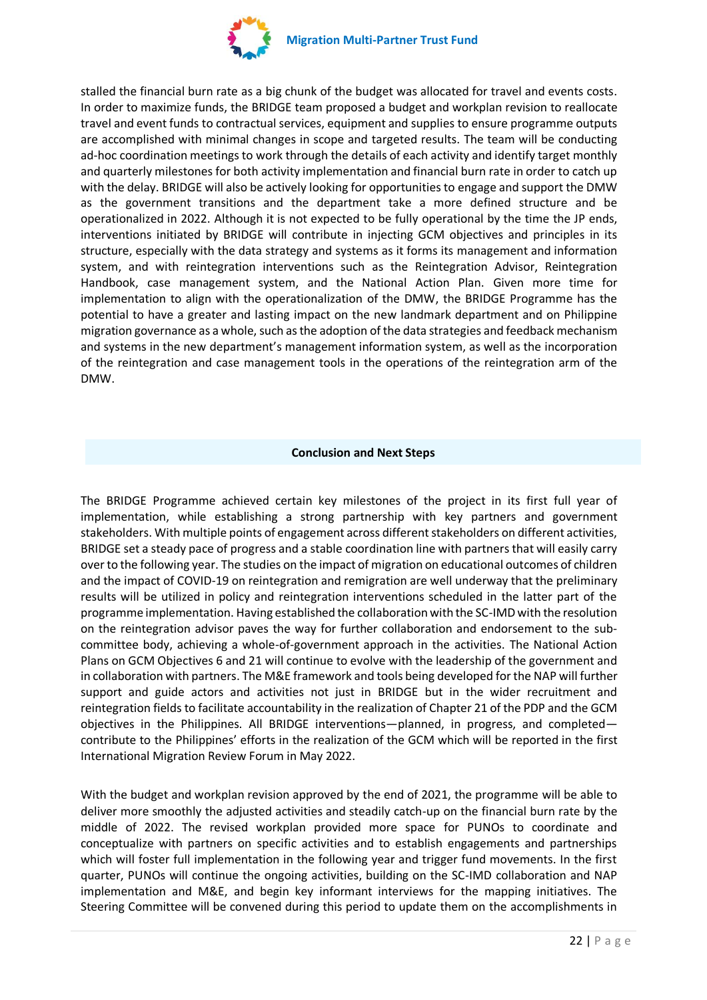

stalled the financial burn rate as a big chunk of the budget was allocated for travel and events costs. In order to maximize funds, the BRIDGE team proposed a budget and workplan revision to reallocate travel and event funds to contractual services, equipment and supplies to ensure programme outputs are accomplished with minimal changes in scope and targeted results. The team will be conducting ad-hoc coordination meetings to work through the details of each activity and identify target monthly and quarterly milestones for both activity implementation and financial burn rate in order to catch up with the delay. BRIDGE will also be actively looking for opportunities to engage and support the DMW as the government transitions and the department take a more defined structure and be operationalized in 2022. Although it is not expected to be fully operational by the time the JP ends, interventions initiated by BRIDGE will contribute in injecting GCM objectives and principles in its structure, especially with the data strategy and systems as it forms its management and information system, and with reintegration interventions such as the Reintegration Advisor, Reintegration Handbook, case management system, and the National Action Plan. Given more time for implementation to align with the operationalization of the DMW, the BRIDGE Programme has the potential to have a greater and lasting impact on the new landmark department and on Philippine migration governance as a whole, such as the adoption of the data strategies and feedback mechanism and systems in the new department's management information system, as well as the incorporation of the reintegration and case management tools in the operations of the reintegration arm of the DMW.

#### **Conclusion and Next Steps**

The BRIDGE Programme achieved certain key milestones of the project in its first full year of implementation, while establishing a strong partnership with key partners and government stakeholders. With multiple points of engagement across different stakeholders on different activities, BRIDGE set a steady pace of progress and a stable coordination line with partners that will easily carry over to the following year. The studies on the impact of migration on educational outcomes of children and the impact of COVID-19 on reintegration and remigration are well underway that the preliminary results will be utilized in policy and reintegration interventions scheduled in the latter part of the programme implementation. Having established the collaboration with the SC-IMD with the resolution on the reintegration advisor paves the way for further collaboration and endorsement to the subcommittee body, achieving a whole-of-government approach in the activities. The National Action Plans on GCM Objectives 6 and 21 will continue to evolve with the leadership of the government and in collaboration with partners. The M&E framework and tools being developed for the NAP will further support and guide actors and activities not just in BRIDGE but in the wider recruitment and reintegration fields to facilitate accountability in the realization of Chapter 21 of the PDP and the GCM objectives in the Philippines. All BRIDGE interventions—planned, in progress, and completed contribute to the Philippines' efforts in the realization of the GCM which will be reported in the first International Migration Review Forum in May 2022.

With the budget and workplan revision approved by the end of 2021, the programme will be able to deliver more smoothly the adjusted activities and steadily catch-up on the financial burn rate by the middle of 2022. The revised workplan provided more space for PUNOs to coordinate and conceptualize with partners on specific activities and to establish engagements and partnerships which will foster full implementation in the following year and trigger fund movements. In the first quarter, PUNOs will continue the ongoing activities, building on the SC-IMD collaboration and NAP implementation and M&E, and begin key informant interviews for the mapping initiatives. The Steering Committee will be convened during this period to update them on the accomplishments in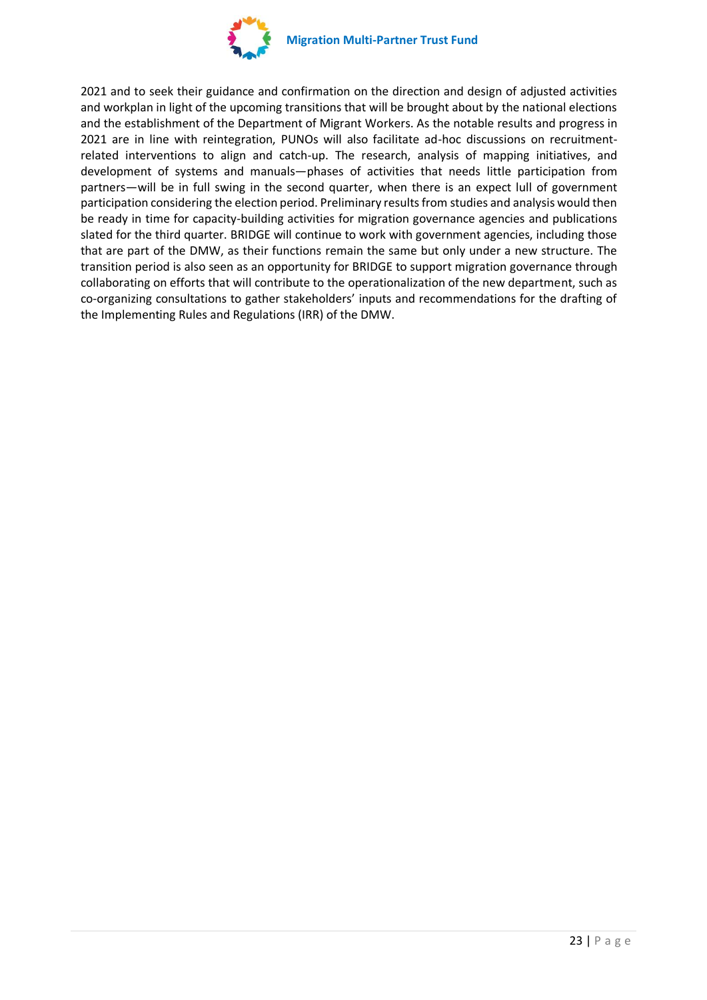

2021 and to seek their guidance and confirmation on the direction and design of adjusted activities and workplan in light of the upcoming transitions that will be brought about by the national elections and the establishment of the Department of Migrant Workers. As the notable results and progress in 2021 are in line with reintegration, PUNOs will also facilitate ad-hoc discussions on recruitmentrelated interventions to align and catch-up. The research, analysis of mapping initiatives, and development of systems and manuals—phases of activities that needs little participation from partners—will be in full swing in the second quarter, when there is an expect lull of government participation considering the election period. Preliminary results from studies and analysis would then be ready in time for capacity-building activities for migration governance agencies and publications slated for the third quarter. BRIDGE will continue to work with government agencies, including those that are part of the DMW, as their functions remain the same but only under a new structure. The transition period is also seen as an opportunity for BRIDGE to support migration governance through collaborating on efforts that will contribute to the operationalization of the new department, such as co-organizing consultations to gather stakeholders' inputs and recommendations for the drafting of the Implementing Rules and Regulations (IRR) of the DMW.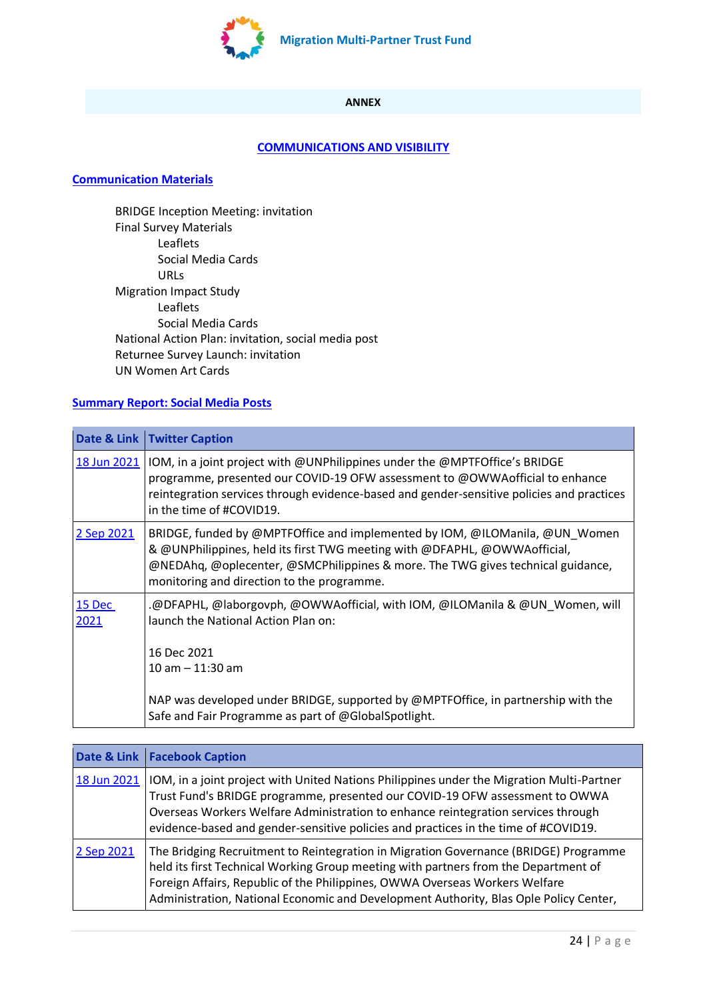

# **ANNEX**

# **[COMMUNICATIONS AND VISIBILITY](https://iomint.sharepoint.com/:f:/s/MPTF-BRIDGE/EqzyfbDXwy5GjViwl78kWTsB1RTC_yhGSfHJZV1x5hv41w?e=RLK8f8)**

#### **[Communication Materials](https://iomint.sharepoint.com/:f:/s/MPTF-BRIDGE/ElIuPhqAwZpHoYZ3-ENDZMQB52ifBgLkk61uuhPcnZiHuw?e=SKmD4H)**

BRIDGE Inception Meeting: invitation Final Survey Materials Leaflets Social Media Cards URLs Migration Impact Study Leaflets Social Media Cards National Action Plan: invitation, social media post Returnee Survey Launch: invitation UN Women Art Cards

# **[Summary Report: Social Media Posts](https://iomint.sharepoint.com/:w:/s/MPTF-BRIDGE/Efw31uam7tZPpxX1Qja8zwYBG02yJIQGtuueB54B1fTYrA?e=takbYs)**

|                | Date & Link   Twitter Caption                                                                                                                                                                                                                                                             |
|----------------|-------------------------------------------------------------------------------------------------------------------------------------------------------------------------------------------------------------------------------------------------------------------------------------------|
| 18 Jun 2021    | IOM, in a joint project with @UNPhilippines under the @MPTFOffice's BRIDGE<br>programme, presented our COVID-19 OFW assessment to @OWWA official to enhance<br>reintegration services through evidence-based and gender-sensitive policies and practices<br>in the time of #COVID19.      |
| 2 Sep 2021     | BRIDGE, funded by @MPTFOffice and implemented by IOM, @ILOManila, @UN Women<br>& @UNPhilippines, held its first TWG meeting with @DFAPHL, @OWWAofficial,<br>@NEDAhq, @oplecenter, @SMCPhilippines & more. The TWG gives technical guidance,<br>monitoring and direction to the programme. |
| 15 Dec<br>2021 | .@DFAPHL, @laborgovph, @OWWAofficial, with IOM, @ILOManila & @UN Women, will<br>launch the National Action Plan on:<br>16 Dec 2021<br>$10$ am $- 11:30$ am                                                                                                                                |
|                | NAP was developed under BRIDGE, supported by @MPTFOffice, in partnership with the<br>Safe and Fair Programme as part of @GlobalSpotlight.                                                                                                                                                 |

|             | Date & Link   Facebook Caption                                                                                                                                                                                                                                                                                                                        |
|-------------|-------------------------------------------------------------------------------------------------------------------------------------------------------------------------------------------------------------------------------------------------------------------------------------------------------------------------------------------------------|
| 18 Jun 2021 | IOM, in a joint project with United Nations Philippines under the Migration Multi-Partner<br>Trust Fund's BRIDGE programme, presented our COVID-19 OFW assessment to OWWA<br>Overseas Workers Welfare Administration to enhance reintegration services through<br>evidence-based and gender-sensitive policies and practices in the time of #COVID19. |
| 2 Sep 2021  | The Bridging Recruitment to Reintegration in Migration Governance (BRIDGE) Programme<br>held its first Technical Working Group meeting with partners from the Department of<br>Foreign Affairs, Republic of the Philippines, OWWA Overseas Workers Welfare<br>Administration, National Economic and Development Authority, Blas Ople Policy Center,   |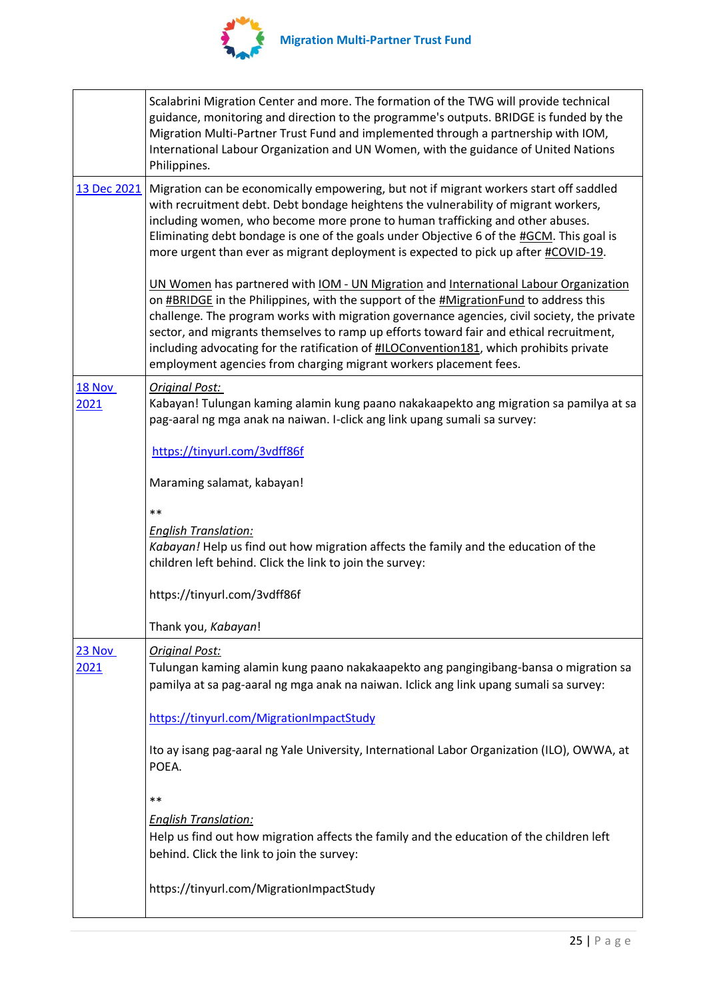

|                       | Scalabrini Migration Center and more. The formation of the TWG will provide technical<br>guidance, monitoring and direction to the programme's outputs. BRIDGE is funded by the<br>Migration Multi-Partner Trust Fund and implemented through a partnership with IOM,<br>International Labour Organization and UN Women, with the guidance of United Nations<br>Philippines.                                                                                                                                                                          |
|-----------------------|-------------------------------------------------------------------------------------------------------------------------------------------------------------------------------------------------------------------------------------------------------------------------------------------------------------------------------------------------------------------------------------------------------------------------------------------------------------------------------------------------------------------------------------------------------|
| 13 Dec 2021           | Migration can be economically empowering, but not if migrant workers start off saddled<br>with recruitment debt. Debt bondage heightens the vulnerability of migrant workers,<br>including women, who become more prone to human trafficking and other abuses.<br>Eliminating debt bondage is one of the goals under Objective 6 of the #GCM. This goal is<br>more urgent than ever as migrant deployment is expected to pick up after #COVID-19.                                                                                                     |
|                       | UN Women has partnered with IOM - UN Migration and International Labour Organization<br>on <b>#BRIDGE</b> in the Philippines, with the support of the <i>#MigrationFund</i> to address this<br>challenge. The program works with migration governance agencies, civil society, the private<br>sector, and migrants themselves to ramp up efforts toward fair and ethical recruitment,<br>including advocating for the ratification of #ILOConvention181, which prohibits private<br>employment agencies from charging migrant workers placement fees. |
| <b>18 Nov</b><br>2021 | <b>Original Post:</b><br>Kabayan! Tulungan kaming alamin kung paano nakakaapekto ang migration sa pamilya at sa<br>pag-aaral ng mga anak na naiwan. I-click ang link upang sumali sa survey:                                                                                                                                                                                                                                                                                                                                                          |
|                       | https://tinyurl.com/3vdff86f                                                                                                                                                                                                                                                                                                                                                                                                                                                                                                                          |
|                       | Maraming salamat, kabayan!                                                                                                                                                                                                                                                                                                                                                                                                                                                                                                                            |
|                       | $**$                                                                                                                                                                                                                                                                                                                                                                                                                                                                                                                                                  |
|                       | <b>English Translation:</b><br>Kabayan! Help us find out how migration affects the family and the education of the<br>children left behind. Click the link to join the survey:                                                                                                                                                                                                                                                                                                                                                                        |
|                       | https://tinyurl.com/3vdff86f                                                                                                                                                                                                                                                                                                                                                                                                                                                                                                                          |
|                       | Thank you, Kabayan!                                                                                                                                                                                                                                                                                                                                                                                                                                                                                                                                   |
| 23 Nov                | <b>Original Post:</b>                                                                                                                                                                                                                                                                                                                                                                                                                                                                                                                                 |
| 2021                  | Tulungan kaming alamin kung paano nakakaapekto ang pangingibang-bansa o migration sa<br>pamilya at sa pag-aaral ng mga anak na naiwan. Iclick ang link upang sumali sa survey:                                                                                                                                                                                                                                                                                                                                                                        |
|                       | https://tinyurl.com/MigrationImpactStudy                                                                                                                                                                                                                                                                                                                                                                                                                                                                                                              |
|                       | Ito ay isang pag-aaral ng Yale University, International Labor Organization (ILO), OWWA, at<br>POEA.                                                                                                                                                                                                                                                                                                                                                                                                                                                  |
|                       | $\ast\ast$                                                                                                                                                                                                                                                                                                                                                                                                                                                                                                                                            |
|                       | <b>English Translation:</b>                                                                                                                                                                                                                                                                                                                                                                                                                                                                                                                           |
|                       | Help us find out how migration affects the family and the education of the children left<br>behind. Click the link to join the survey:                                                                                                                                                                                                                                                                                                                                                                                                                |
|                       | https://tinyurl.com/MigrationImpactStudy                                                                                                                                                                                                                                                                                                                                                                                                                                                                                                              |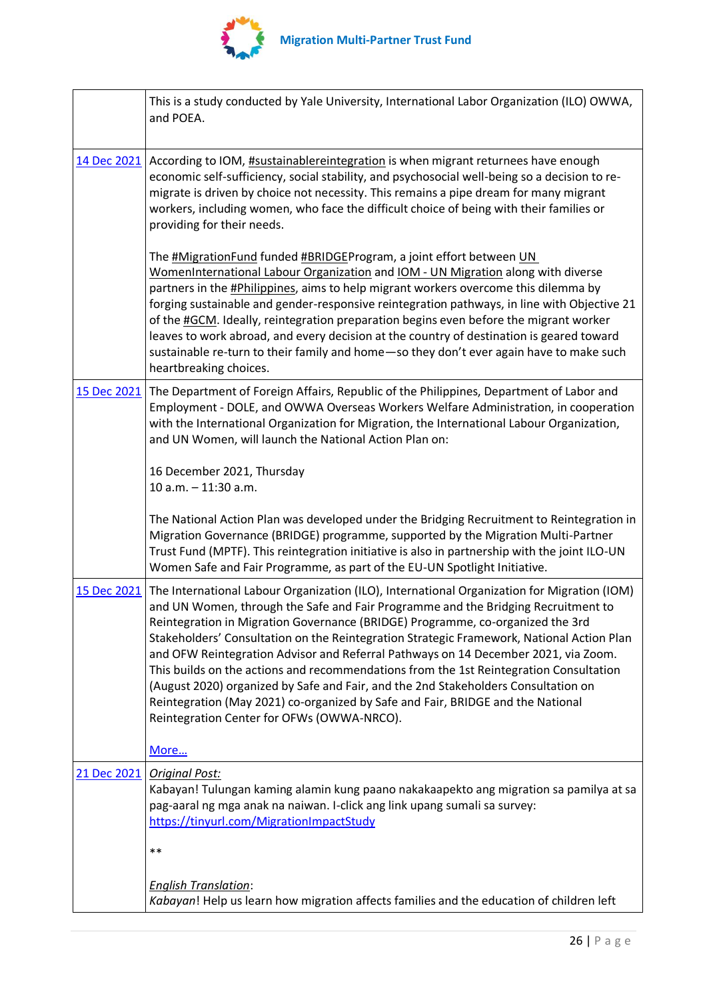

 $\mathsf{r}$ 

|             | This is a study conducted by Yale University, International Labor Organization (ILO) OWWA,<br>and POEA.                                                                                                                                                                                                                                                                                                                                                                                                                                                                                                                                                                                                                                                                |
|-------------|------------------------------------------------------------------------------------------------------------------------------------------------------------------------------------------------------------------------------------------------------------------------------------------------------------------------------------------------------------------------------------------------------------------------------------------------------------------------------------------------------------------------------------------------------------------------------------------------------------------------------------------------------------------------------------------------------------------------------------------------------------------------|
| 14 Dec 2021 | According to IOM, <b>#sustainablereintegration</b> is when migrant returnees have enough<br>economic self-sufficiency, social stability, and psychosocial well-being so a decision to re-<br>migrate is driven by choice not necessity. This remains a pipe dream for many migrant<br>workers, including women, who face the difficult choice of being with their families or<br>providing for their needs.                                                                                                                                                                                                                                                                                                                                                            |
|             | The #MigrationFund funded #BRIDGEProgram, a joint effort between UN<br>WomenInternational Labour Organization and IOM - UN Migration along with diverse<br>partners in the <b>#Philippines</b> , aims to help migrant workers overcome this dilemma by<br>forging sustainable and gender-responsive reintegration pathways, in line with Objective 21<br>of the #GCM. Ideally, reintegration preparation begins even before the migrant worker<br>leaves to work abroad, and every decision at the country of destination is geared toward<br>sustainable re-turn to their family and home-so they don't ever again have to make such<br>heartbreaking choices.                                                                                                        |
| 15 Dec 2021 | The Department of Foreign Affairs, Republic of the Philippines, Department of Labor and<br>Employment - DOLE, and OWWA Overseas Workers Welfare Administration, in cooperation<br>with the International Organization for Migration, the International Labour Organization,<br>and UN Women, will launch the National Action Plan on:                                                                                                                                                                                                                                                                                                                                                                                                                                  |
|             | 16 December 2021, Thursday<br>10 a.m. - 11:30 a.m.                                                                                                                                                                                                                                                                                                                                                                                                                                                                                                                                                                                                                                                                                                                     |
|             | The National Action Plan was developed under the Bridging Recruitment to Reintegration in<br>Migration Governance (BRIDGE) programme, supported by the Migration Multi-Partner<br>Trust Fund (MPTF). This reintegration initiative is also in partnership with the joint ILO-UN<br>Women Safe and Fair Programme, as part of the EU-UN Spotlight Initiative.                                                                                                                                                                                                                                                                                                                                                                                                           |
| 15 Dec 2021 | The International Labour Organization (ILO), International Organization for Migration (IOM)<br>and UN Women, through the Safe and Fair Programme and the Bridging Recruitment to<br>Reintegration in Migration Governance (BRIDGE) Programme, co-organized the 3rd<br>Stakeholders' Consultation on the Reintegration Strategic Framework, National Action Plan<br>and OFW Reintegration Advisor and Referral Pathways on 14 December 2021, via Zoom.<br>This builds on the actions and recommendations from the 1st Reintegration Consultation<br>(August 2020) organized by Safe and Fair, and the 2nd Stakeholders Consultation on<br>Reintegration (May 2021) co-organized by Safe and Fair, BRIDGE and the National<br>Reintegration Center for OFWs (OWWA-NRCO). |
|             | More                                                                                                                                                                                                                                                                                                                                                                                                                                                                                                                                                                                                                                                                                                                                                                   |
| 21 Dec 2021 | <b>Original Post:</b><br>Kabayan! Tulungan kaming alamin kung paano nakakaapekto ang migration sa pamilya at sa<br>pag-aaral ng mga anak na naiwan. I-click ang link upang sumali sa survey:<br>https://tinyurl.com/MigrationImpactStudy                                                                                                                                                                                                                                                                                                                                                                                                                                                                                                                               |
|             | $**$                                                                                                                                                                                                                                                                                                                                                                                                                                                                                                                                                                                                                                                                                                                                                                   |
|             | <b>English Translation:</b><br>Kabayan! Help us learn how migration affects families and the education of children left                                                                                                                                                                                                                                                                                                                                                                                                                                                                                                                                                                                                                                                |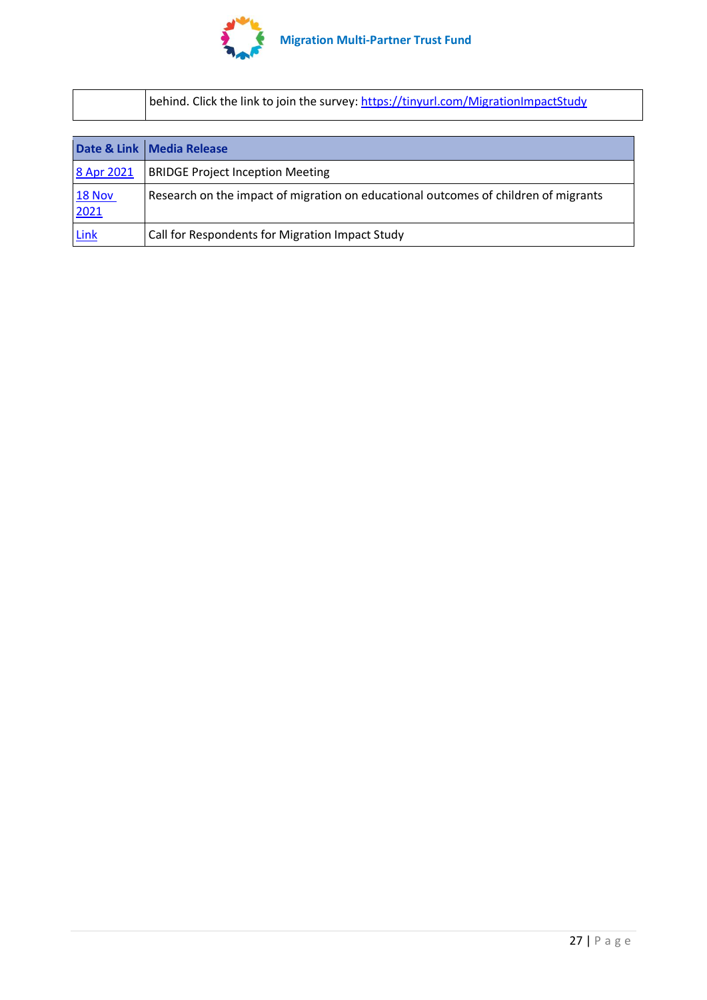

| behind. Click the link to join the survey: https://tinyurl.com/MigrationImpactStudy |
|-------------------------------------------------------------------------------------|
|-------------------------------------------------------------------------------------|

|                       | Date & Link   Media Release                                                         |
|-----------------------|-------------------------------------------------------------------------------------|
| 8 Apr 2021            | <b>BRIDGE Project Inception Meeting</b>                                             |
| <b>18 Nov</b><br>2021 | Research on the impact of migration on educational outcomes of children of migrants |
| Link                  | Call for Respondents for Migration Impact Study                                     |